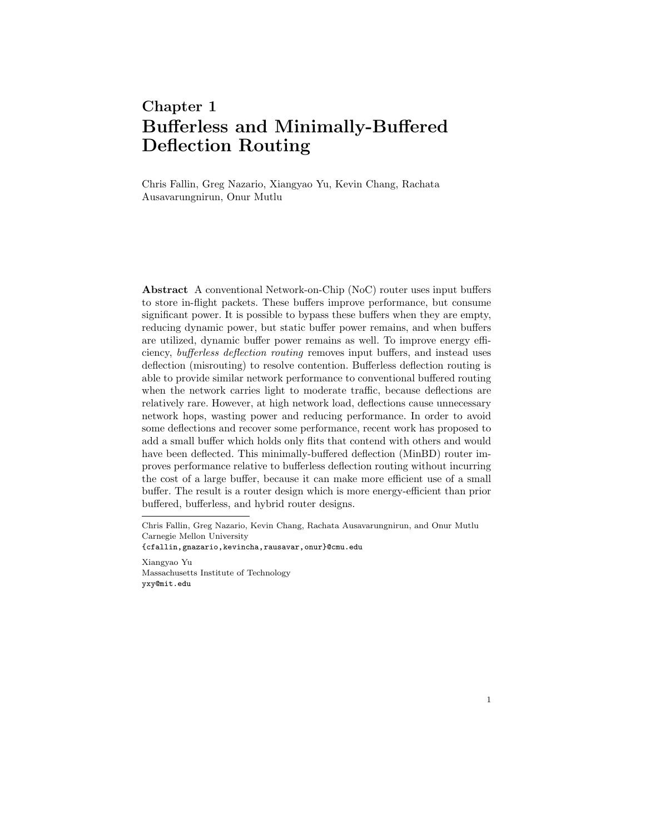Chris Fallin, Greg Nazario, Xiangyao Yu, Kevin Chang, Rachata Ausavarungnirun, Onur Mutlu

Abstract A conventional Network-on-Chip (NoC) router uses input buffers to store in-flight packets. These buffers improve performance, but consume significant power. It is possible to bypass these buffers when they are empty, reducing dynamic power, but static buffer power remains, and when buffers are utilized, dynamic buffer power remains as well. To improve energy efficiency, bufferless deflection routing removes input buffers, and instead uses deflection (misrouting) to resolve contention. Bufferless deflection routing is able to provide similar network performance to conventional buffered routing when the network carries light to moderate traffic, because deflections are relatively rare. However, at high network load, deflections cause unnecessary network hops, wasting power and reducing performance. In order to avoid some deflections and recover some performance, recent work has proposed to add a small buffer which holds only flits that contend with others and would have been deflected. This minimally-buffered deflection (MinBD) router improves performance relative to bufferless deflection routing without incurring the cost of a large buffer, because it can make more efficient use of a small buffer. The result is a router design which is more energy-efficient than prior buffered, bufferless, and hybrid router designs.

Xiangyao Yu Massachusetts Institute of Technology yxy@mit.edu

Chris Fallin, Greg Nazario, Kevin Chang, Rachata Ausavarungnirun, and Onur Mutlu Carnegie Mellon University

<sup>{</sup>cfallin,gnazario,kevincha,rausavar,onur}@cmu.edu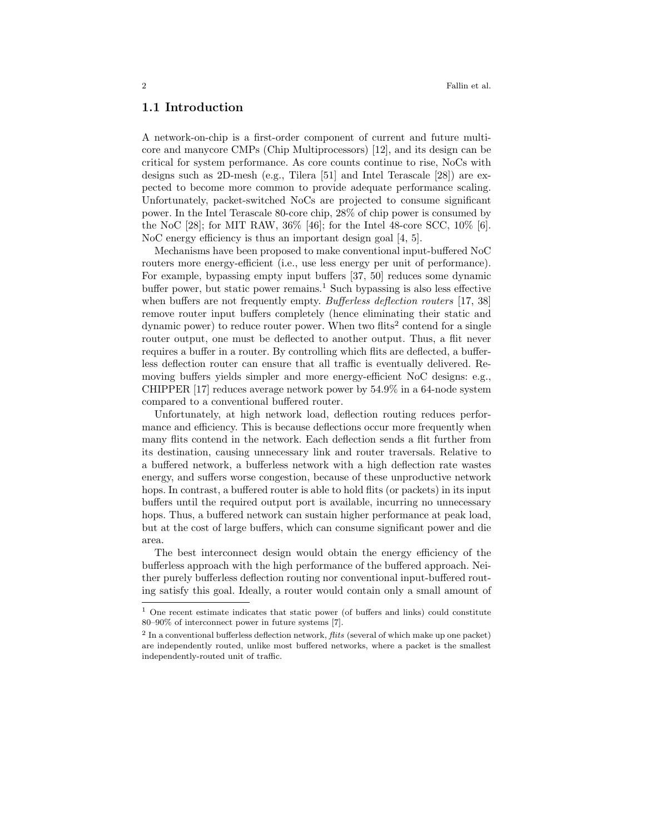#### 1.1 Introduction

A network-on-chip is a first-order component of current and future multicore and manycore CMPs (Chip Multiprocessors) [12], and its design can be critical for system performance. As core counts continue to rise, NoCs with designs such as 2D-mesh (e.g., Tilera [51] and Intel Terascale [28]) are expected to become more common to provide adequate performance scaling. Unfortunately, packet-switched NoCs are projected to consume significant power. In the Intel Terascale 80-core chip, 28% of chip power is consumed by the NoC [28]; for MIT RAW, 36% [46]; for the Intel 48-core SCC, 10% [6]. NoC energy efficiency is thus an important design goal [4, 5].

Mechanisms have been proposed to make conventional input-buffered NoC routers more energy-efficient (i.e., use less energy per unit of performance). For example, bypassing empty input buffers [37, 50] reduces some dynamic buffer power, but static power remains.<sup>1</sup> Such bypassing is also less effective when buffers are not frequently empty. Bufferless deflection routers [17, 38] remove router input buffers completely (hence eliminating their static and dynamic power) to reduce router power. When two flits<sup>2</sup> contend for a single router output, one must be deflected to another output. Thus, a flit never requires a buffer in a router. By controlling which flits are deflected, a bufferless deflection router can ensure that all traffic is eventually delivered. Removing buffers yields simpler and more energy-efficient NoC designs: e.g., CHIPPER [17] reduces average network power by 54.9% in a 64-node system compared to a conventional buffered router.

Unfortunately, at high network load, deflection routing reduces performance and efficiency. This is because deflections occur more frequently when many flits contend in the network. Each deflection sends a flit further from its destination, causing unnecessary link and router traversals. Relative to a buffered network, a bufferless network with a high deflection rate wastes energy, and suffers worse congestion, because of these unproductive network hops. In contrast, a buffered router is able to hold flits (or packets) in its input buffers until the required output port is available, incurring no unnecessary hops. Thus, a buffered network can sustain higher performance at peak load, but at the cost of large buffers, which can consume significant power and die area.

The best interconnect design would obtain the energy efficiency of the bufferless approach with the high performance of the buffered approach. Neither purely bufferless deflection routing nor conventional input-buffered routing satisfy this goal. Ideally, a router would contain only a small amount of

<sup>1</sup> One recent estimate indicates that static power (of buffers and links) could constitute 80–90% of interconnect power in future systems [7].

<sup>&</sup>lt;sup>2</sup> In a conventional bufferless deflection network, *flits* (several of which make up one packet) are independently routed, unlike most buffered networks, where a packet is the smallest independently-routed unit of traffic.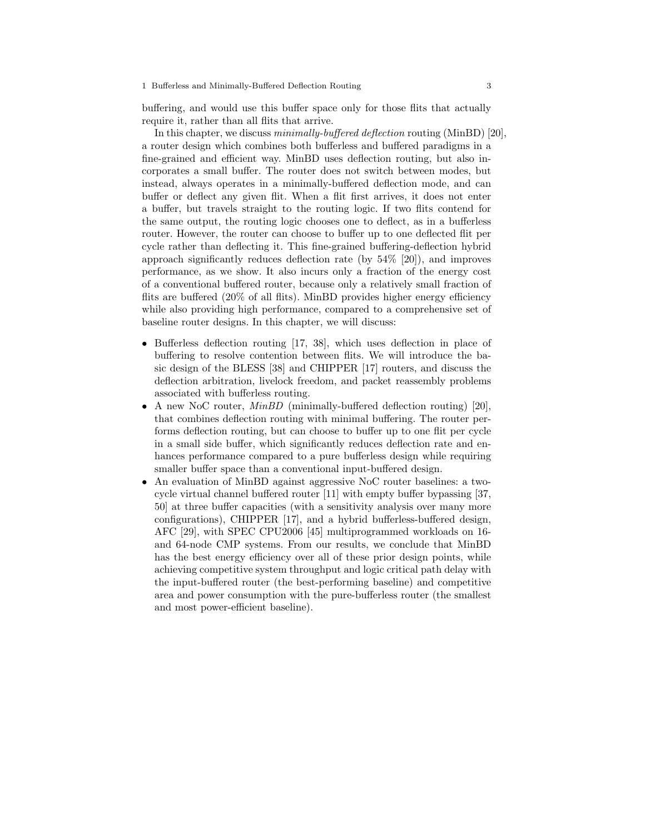buffering, and would use this buffer space only for those flits that actually require it, rather than all flits that arrive.

In this chapter, we discuss minimally-buffered deflection routing (MinBD) [20], a router design which combines both bufferless and buffered paradigms in a fine-grained and efficient way. MinBD uses deflection routing, but also incorporates a small buffer. The router does not switch between modes, but instead, always operates in a minimally-buffered deflection mode, and can buffer or deflect any given flit. When a flit first arrives, it does not enter a buffer, but travels straight to the routing logic. If two flits contend for the same output, the routing logic chooses one to deflect, as in a bufferless router. However, the router can choose to buffer up to one deflected flit per cycle rather than deflecting it. This fine-grained buffering-deflection hybrid approach significantly reduces deflection rate (by 54% [20]), and improves performance, as we show. It also incurs only a fraction of the energy cost of a conventional buffered router, because only a relatively small fraction of flits are buffered (20% of all flits). MinBD provides higher energy efficiency while also providing high performance, compared to a comprehensive set of baseline router designs. In this chapter, we will discuss:

- Bufferless deflection routing [17, 38], which uses deflection in place of buffering to resolve contention between flits. We will introduce the basic design of the BLESS [38] and CHIPPER [17] routers, and discuss the deflection arbitration, livelock freedom, and packet reassembly problems associated with bufferless routing.
- A new NoC router, *MinBD* (minimally-buffered deflection routing) [20], that combines deflection routing with minimal buffering. The router performs deflection routing, but can choose to buffer up to one flit per cycle in a small side buffer, which significantly reduces deflection rate and enhances performance compared to a pure bufferless design while requiring smaller buffer space than a conventional input-buffered design.
- An evaluation of MinBD against aggressive NoC router baselines: a twocycle virtual channel buffered router [11] with empty buffer bypassing [37, 50] at three buffer capacities (with a sensitivity analysis over many more configurations), CHIPPER [17], and a hybrid bufferless-buffered design, AFC [29], with SPEC CPU2006 [45] multiprogrammed workloads on 16 and 64-node CMP systems. From our results, we conclude that MinBD has the best energy efficiency over all of these prior design points, while achieving competitive system throughput and logic critical path delay with the input-buffered router (the best-performing baseline) and competitive area and power consumption with the pure-bufferless router (the smallest and most power-efficient baseline).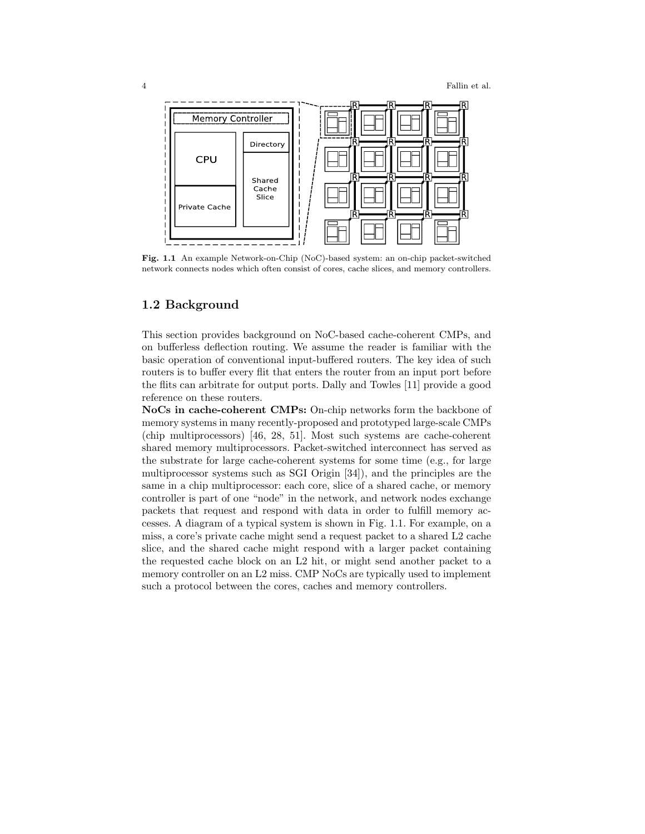

Fig. 1.1 An example Network-on-Chip (NoC)-based system: an on-chip packet-switched network connects nodes which often consist of cores, cache slices, and memory controllers.

#### 1.2 Background

This section provides background on NoC-based cache-coherent CMPs, and on bufferless deflection routing. We assume the reader is familiar with the basic operation of conventional input-buffered routers. The key idea of such routers is to buffer every flit that enters the router from an input port before the flits can arbitrate for output ports. Dally and Towles [11] provide a good reference on these routers.

NoCs in cache-coherent CMPs: On-chip networks form the backbone of memory systems in many recently-proposed and prototyped large-scale CMPs (chip multiprocessors) [46, 28, 51]. Most such systems are cache-coherent shared memory multiprocessors. Packet-switched interconnect has served as the substrate for large cache-coherent systems for some time (e.g., for large multiprocessor systems such as SGI Origin [34]), and the principles are the same in a chip multiprocessor: each core, slice of a shared cache, or memory controller is part of one "node" in the network, and network nodes exchange packets that request and respond with data in order to fulfill memory accesses. A diagram of a typical system is shown in Fig. 1.1. For example, on a miss, a core's private cache might send a request packet to a shared L2 cache slice, and the shared cache might respond with a larger packet containing the requested cache block on an L2 hit, or might send another packet to a memory controller on an L2 miss. CMP NoCs are typically used to implement such a protocol between the cores, caches and memory controllers.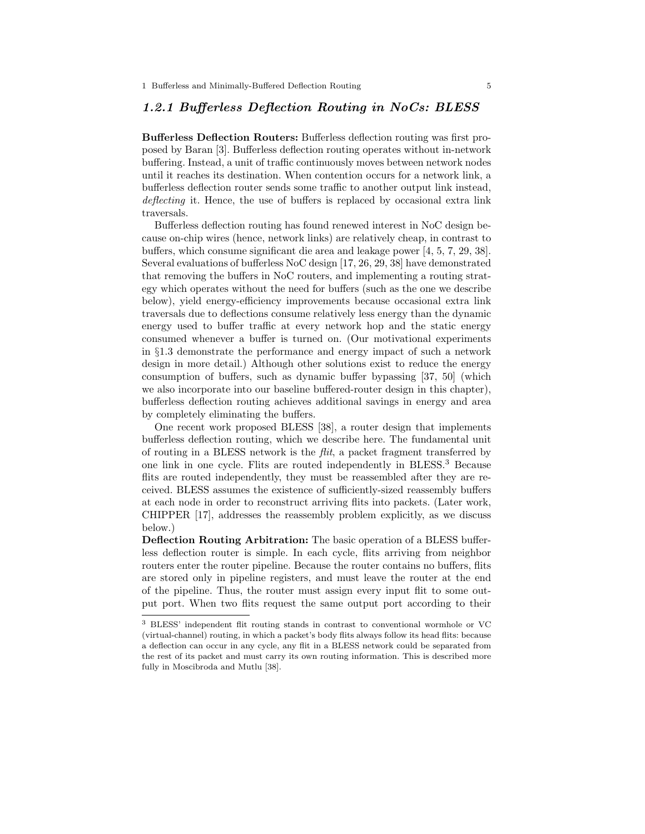#### 1.2.1 Bufferless Deflection Routing in NoCs: BLESS

Bufferless Deflection Routers: Bufferless deflection routing was first proposed by Baran [3]. Bufferless deflection routing operates without in-network buffering. Instead, a unit of traffic continuously moves between network nodes until it reaches its destination. When contention occurs for a network link, a bufferless deflection router sends some traffic to another output link instead, deflecting it. Hence, the use of buffers is replaced by occasional extra link traversals.

Bufferless deflection routing has found renewed interest in NoC design because on-chip wires (hence, network links) are relatively cheap, in contrast to buffers, which consume significant die area and leakage power [4, 5, 7, 29, 38]. Several evaluations of bufferless NoC design [17, 26, 29, 38] have demonstrated that removing the buffers in NoC routers, and implementing a routing strategy which operates without the need for buffers (such as the one we describe below), yield energy-efficiency improvements because occasional extra link traversals due to deflections consume relatively less energy than the dynamic energy used to buffer traffic at every network hop and the static energy consumed whenever a buffer is turned on. (Our motivational experiments in §1.3 demonstrate the performance and energy impact of such a network design in more detail.) Although other solutions exist to reduce the energy consumption of buffers, such as dynamic buffer bypassing [37, 50] (which we also incorporate into our baseline buffered-router design in this chapter), bufferless deflection routing achieves additional savings in energy and area by completely eliminating the buffers.

One recent work proposed BLESS [38], a router design that implements bufferless deflection routing, which we describe here. The fundamental unit of routing in a BLESS network is the  $\text{fit}$ , a packet fragment transferred by one link in one cycle. Flits are routed independently in BLESS.<sup>3</sup> Because flits are routed independently, they must be reassembled after they are received. BLESS assumes the existence of sufficiently-sized reassembly buffers at each node in order to reconstruct arriving flits into packets. (Later work, CHIPPER [17], addresses the reassembly problem explicitly, as we discuss below.)

Deflection Routing Arbitration: The basic operation of a BLESS bufferless deflection router is simple. In each cycle, flits arriving from neighbor routers enter the router pipeline. Because the router contains no buffers, flits are stored only in pipeline registers, and must leave the router at the end of the pipeline. Thus, the router must assign every input flit to some output port. When two flits request the same output port according to their

<sup>3</sup> BLESS' independent flit routing stands in contrast to conventional wormhole or VC (virtual-channel) routing, in which a packet's body flits always follow its head flits: because a deflection can occur in any cycle, any flit in a BLESS network could be separated from the rest of its packet and must carry its own routing information. This is described more fully in Moscibroda and Mutlu [38].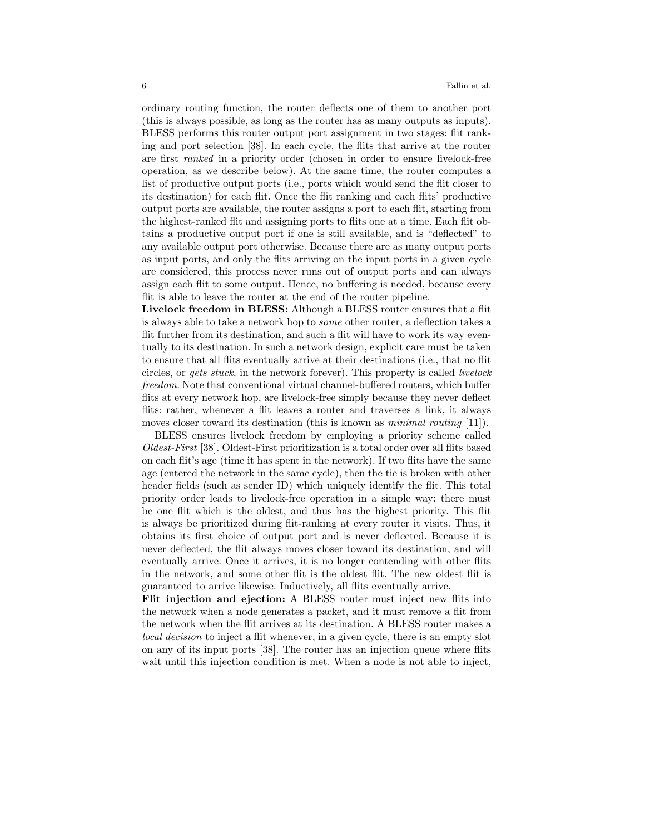ordinary routing function, the router deflects one of them to another port (this is always possible, as long as the router has as many outputs as inputs). BLESS performs this router output port assignment in two stages: flit ranking and port selection [38]. In each cycle, the flits that arrive at the router are first ranked in a priority order (chosen in order to ensure livelock-free operation, as we describe below). At the same time, the router computes a list of productive output ports (i.e., ports which would send the flit closer to its destination) for each flit. Once the flit ranking and each flits' productive output ports are available, the router assigns a port to each flit, starting from the highest-ranked flit and assigning ports to flits one at a time. Each flit obtains a productive output port if one is still available, and is "deflected" to any available output port otherwise. Because there are as many output ports as input ports, and only the flits arriving on the input ports in a given cycle are considered, this process never runs out of output ports and can always assign each flit to some output. Hence, no buffering is needed, because every flit is able to leave the router at the end of the router pipeline.

Livelock freedom in BLESS: Although a BLESS router ensures that a flit is always able to take a network hop to some other router, a deflection takes a flit further from its destination, and such a flit will have to work its way eventually to its destination. In such a network design, explicit care must be taken to ensure that all flits eventually arrive at their destinations (i.e., that no flit circles, or gets stuck, in the network forever). This property is called livelock freedom. Note that conventional virtual channel-buffered routers, which buffer flits at every network hop, are livelock-free simply because they never deflect flits: rather, whenever a flit leaves a router and traverses a link, it always moves closer toward its destination (this is known as *minimal routing* [11]).

BLESS ensures livelock freedom by employing a priority scheme called Oldest-First [38]. Oldest-First prioritization is a total order over all flits based on each flit's age (time it has spent in the network). If two flits have the same age (entered the network in the same cycle), then the tie is broken with other header fields (such as sender ID) which uniquely identify the flit. This total priority order leads to livelock-free operation in a simple way: there must be one flit which is the oldest, and thus has the highest priority. This flit is always be prioritized during flit-ranking at every router it visits. Thus, it obtains its first choice of output port and is never deflected. Because it is never deflected, the flit always moves closer toward its destination, and will eventually arrive. Once it arrives, it is no longer contending with other flits in the network, and some other flit is the oldest flit. The new oldest flit is guaranteed to arrive likewise. Inductively, all flits eventually arrive.

Flit injection and ejection: A BLESS router must inject new flits into the network when a node generates a packet, and it must remove a flit from the network when the flit arrives at its destination. A BLESS router makes a local decision to inject a flit whenever, in a given cycle, there is an empty slot on any of its input ports [38]. The router has an injection queue where flits wait until this injection condition is met. When a node is not able to inject,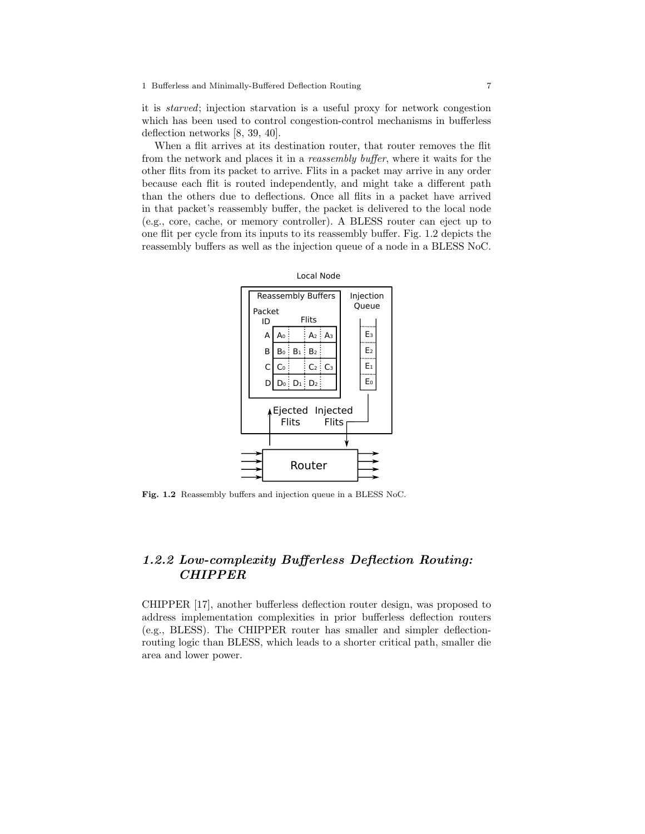it is starved; injection starvation is a useful proxy for network congestion which has been used to control congestion-control mechanisms in bufferless deflection networks [8, 39, 40].

When a flit arrives at its destination router, that router removes the flit from the network and places it in a reassembly buffer, where it waits for the other flits from its packet to arrive. Flits in a packet may arrive in any order because each flit is routed independently, and might take a different path than the others due to deflections. Once all flits in a packet have arrived in that packet's reassembly buffer, the packet is delivered to the local node (e.g., core, cache, or memory controller). A BLESS router can eject up to one flit per cycle from its inputs to its reassembly buffer. Fig. 1.2 depicts the reassembly buffers as well as the injection queue of a node in a BLESS NoC.



Fig. 1.2 Reassembly buffers and injection queue in a BLESS NoC.

## 1.2.2 Low-complexity Bufferless Deflection Routing: CHIPPER

CHIPPER [17], another bufferless deflection router design, was proposed to address implementation complexities in prior bufferless deflection routers (e.g., BLESS). The CHIPPER router has smaller and simpler deflectionrouting logic than BLESS, which leads to a shorter critical path, smaller die area and lower power.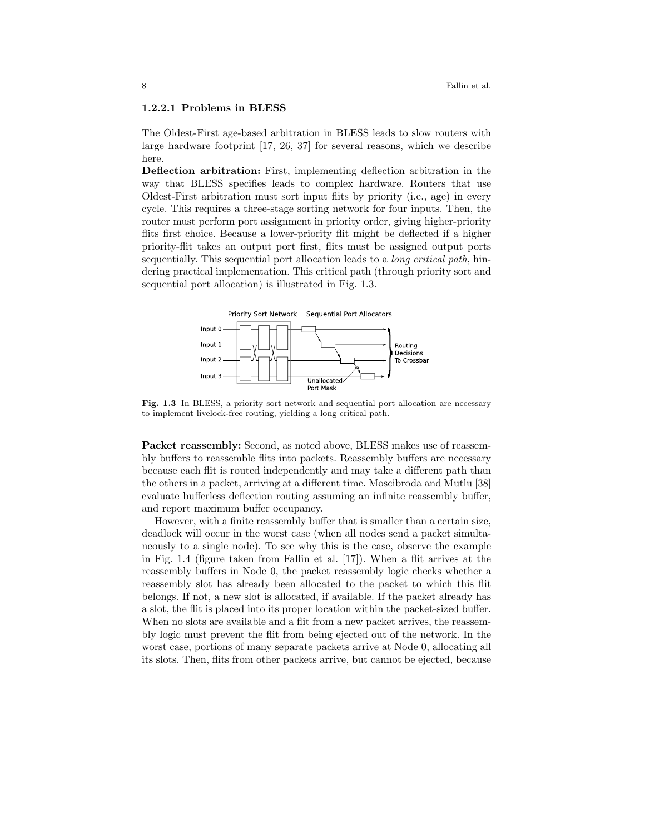#### 1.2.2.1 Problems in BLESS

The Oldest-First age-based arbitration in BLESS leads to slow routers with large hardware footprint [17, 26, 37] for several reasons, which we describe here.

Deflection arbitration: First, implementing deflection arbitration in the way that BLESS specifies leads to complex hardware. Routers that use Oldest-First arbitration must sort input flits by priority (i.e., age) in every cycle. This requires a three-stage sorting network for four inputs. Then, the router must perform port assignment in priority order, giving higher-priority flits first choice. Because a lower-priority flit might be deflected if a higher priority-flit takes an output port first, flits must be assigned output ports sequentially. This sequential port allocation leads to a *long critical path*, hindering practical implementation. This critical path (through priority sort and sequential port allocation) is illustrated in Fig. 1.3.



Fig. 1.3 In BLESS, a priority sort network and sequential port allocation are necessary to implement livelock-free routing, yielding a long critical path.

Packet reassembly: Second, as noted above, BLESS makes use of reassembly buffers to reassemble flits into packets. Reassembly buffers are necessary because each flit is routed independently and may take a different path than the others in a packet, arriving at a different time. Moscibroda and Mutlu [38] evaluate bufferless deflection routing assuming an infinite reassembly buffer, and report maximum buffer occupancy.

However, with a finite reassembly buffer that is smaller than a certain size, deadlock will occur in the worst case (when all nodes send a packet simultaneously to a single node). To see why this is the case, observe the example in Fig. 1.4 (figure taken from Fallin et al. [17]). When a flit arrives at the reassembly buffers in Node 0, the packet reassembly logic checks whether a reassembly slot has already been allocated to the packet to which this flit belongs. If not, a new slot is allocated, if available. If the packet already has a slot, the flit is placed into its proper location within the packet-sized buffer. When no slots are available and a flit from a new packet arrives, the reassembly logic must prevent the flit from being ejected out of the network. In the worst case, portions of many separate packets arrive at Node 0, allocating all its slots. Then, flits from other packets arrive, but cannot be ejected, because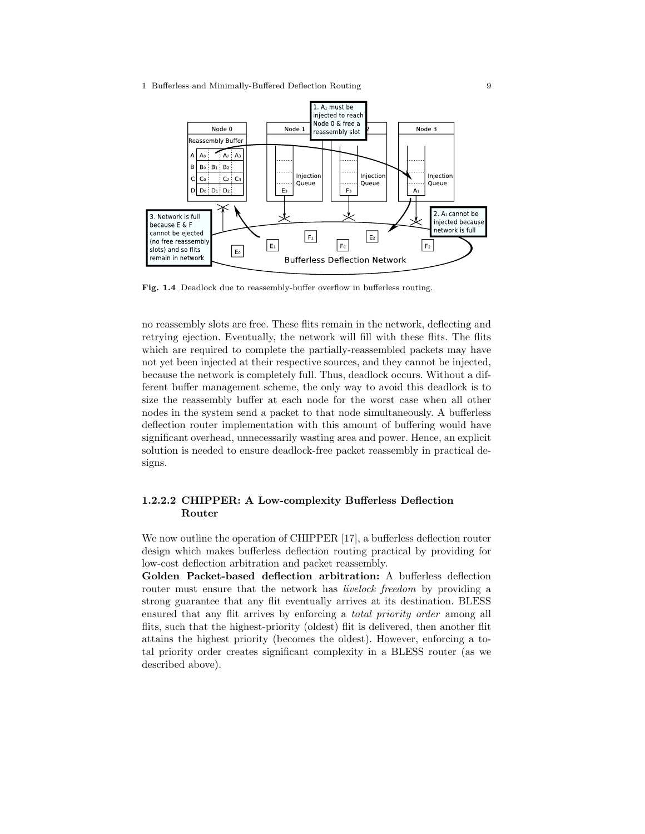

Fig. 1.4 Deadlock due to reassembly-buffer overflow in bufferless routing.

no reassembly slots are free. These flits remain in the network, deflecting and retrying ejection. Eventually, the network will fill with these flits. The flits which are required to complete the partially-reassembled packets may have not yet been injected at their respective sources, and they cannot be injected, because the network is completely full. Thus, deadlock occurs. Without a different buffer management scheme, the only way to avoid this deadlock is to size the reassembly buffer at each node for the worst case when all other nodes in the system send a packet to that node simultaneously. A bufferless deflection router implementation with this amount of buffering would have significant overhead, unnecessarily wasting area and power. Hence, an explicit solution is needed to ensure deadlock-free packet reassembly in practical designs.

#### 1.2.2.2 CHIPPER: A Low-complexity Bufferless Deflection Router

We now outline the operation of CHIPPER [17], a bufferless deflection router design which makes bufferless deflection routing practical by providing for low-cost deflection arbitration and packet reassembly.

Golden Packet-based deflection arbitration: A bufferless deflection router must ensure that the network has *livelock freedom* by providing a strong guarantee that any flit eventually arrives at its destination. BLESS ensured that any flit arrives by enforcing a *total priority order* among all flits, such that the highest-priority (oldest) flit is delivered, then another flit attains the highest priority (becomes the oldest). However, enforcing a total priority order creates significant complexity in a BLESS router (as we described above).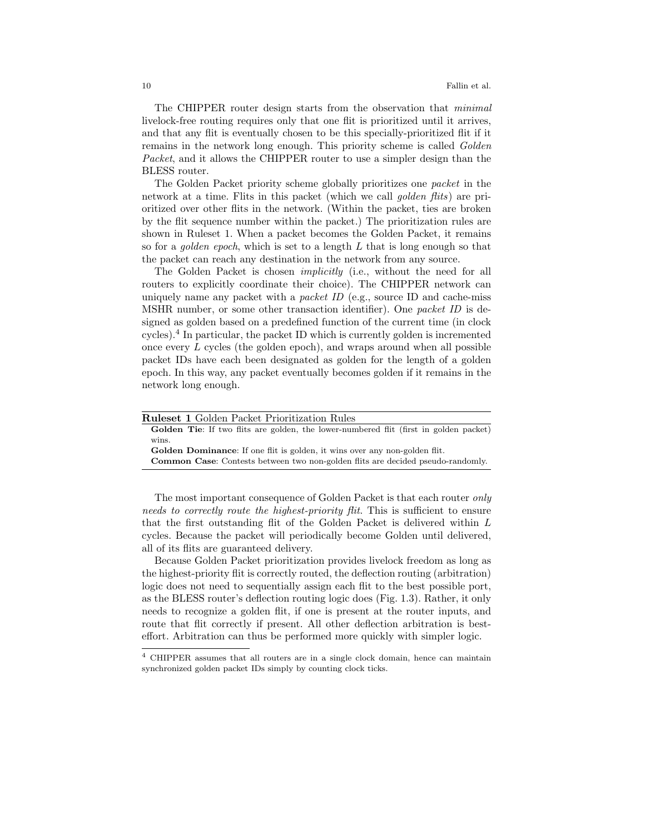The CHIPPER router design starts from the observation that *minimal* livelock-free routing requires only that one flit is prioritized until it arrives, and that any flit is eventually chosen to be this specially-prioritized flit if it remains in the network long enough. This priority scheme is called Golden Packet, and it allows the CHIPPER router to use a simpler design than the BLESS router.

The Golden Packet priority scheme globally prioritizes one packet in the network at a time. Flits in this packet (which we call *golden flits*) are prioritized over other flits in the network. (Within the packet, ties are broken by the flit sequence number within the packet.) The prioritization rules are shown in Ruleset 1. When a packet becomes the Golden Packet, it remains so for a *golden epoch*, which is set to a length  $L$  that is long enough so that the packet can reach any destination in the network from any source.

The Golden Packet is chosen *implicitly* (i.e., without the need for all routers to explicitly coordinate their choice). The CHIPPER network can uniquely name any packet with a *packet ID* (e.g., source ID and cache-miss MSHR number, or some other transaction identifier). One packet ID is designed as golden based on a predefined function of the current time (in clock cycles).<sup>4</sup> In particular, the packet ID which is currently golden is incremented once every  $L$  cycles (the golden epoch), and wraps around when all possible packet IDs have each been designated as golden for the length of a golden epoch. In this way, any packet eventually becomes golden if it remains in the network long enough.

| Golden Tie: If two flits are golden, the lower-numbered flit (first in golden packet)<br>wins.<br>Golden Dominance: If one flit is golden, it wins over any non-golden flit.<br><b>Common Case:</b> Contests between two non-golden flits are decided pseudo-randomly. | <b>Ruleset 1 Golden Packet Prioritization Rules</b> |  |  |  |  |  |  |  |
|------------------------------------------------------------------------------------------------------------------------------------------------------------------------------------------------------------------------------------------------------------------------|-----------------------------------------------------|--|--|--|--|--|--|--|
|                                                                                                                                                                                                                                                                        |                                                     |  |  |  |  |  |  |  |
|                                                                                                                                                                                                                                                                        |                                                     |  |  |  |  |  |  |  |
|                                                                                                                                                                                                                                                                        |                                                     |  |  |  |  |  |  |  |
|                                                                                                                                                                                                                                                                        |                                                     |  |  |  |  |  |  |  |

The most important consequence of Golden Packet is that each router only needs to correctly route the highest-priority flit. This is sufficient to ensure that the first outstanding flit of the Golden Packet is delivered within L cycles. Because the packet will periodically become Golden until delivered, all of its flits are guaranteed delivery.

Because Golden Packet prioritization provides livelock freedom as long as the highest-priority flit is correctly routed, the deflection routing (arbitration) logic does not need to sequentially assign each flit to the best possible port, as the BLESS router's deflection routing logic does (Fig. 1.3). Rather, it only needs to recognize a golden flit, if one is present at the router inputs, and route that flit correctly if present. All other deflection arbitration is besteffort. Arbitration can thus be performed more quickly with simpler logic.

<sup>4</sup> CHIPPER assumes that all routers are in a single clock domain, hence can maintain synchronized golden packet IDs simply by counting clock ticks.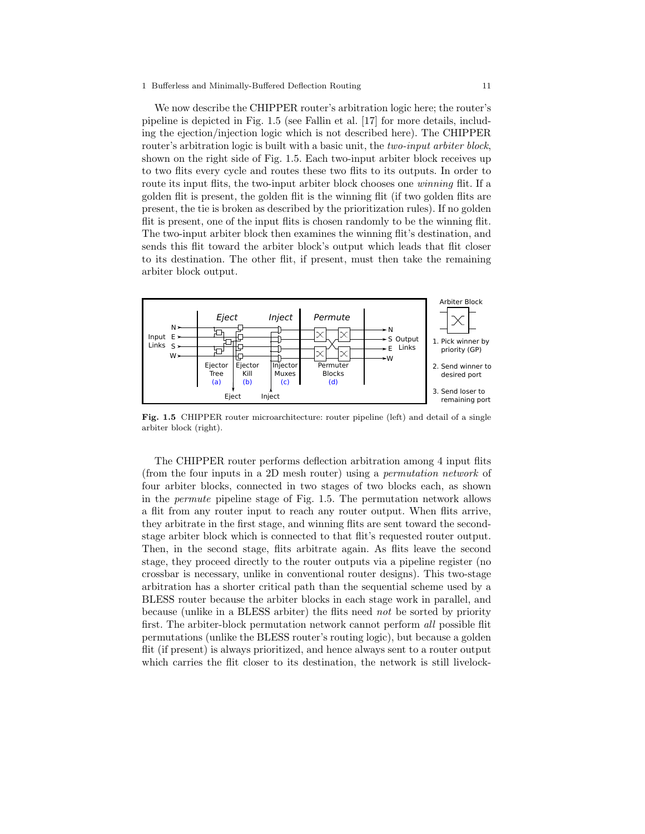We now describe the CHIPPER router's arbitration logic here; the router's pipeline is depicted in Fig. 1.5 (see Fallin et al. [17] for more details, including the ejection/injection logic which is not described here). The CHIPPER router's arbitration logic is built with a basic unit, the two-input arbiter block, shown on the right side of Fig. 1.5. Each two-input arbiter block receives up to two flits every cycle and routes these two flits to its outputs. In order to route its input flits, the two-input arbiter block chooses one *winning* flit. If a golden flit is present, the golden flit is the winning flit (if two golden flits are present, the tie is broken as described by the prioritization rules). If no golden flit is present, one of the input flits is chosen randomly to be the winning flit. The two-input arbiter block then examines the winning flit's destination, and sends this flit toward the arbiter block's output which leads that flit closer to its destination. The other flit, if present, must then take the remaining arbiter block output.



Fig. 1.5 CHIPPER router microarchitecture: router pipeline (left) and detail of a single arbiter block (right).

The CHIPPER router performs deflection arbitration among 4 input flits (from the four inputs in a 2D mesh router) using a permutation network of four arbiter blocks, connected in two stages of two blocks each, as shown in the permute pipeline stage of Fig. 1.5. The permutation network allows a flit from any router input to reach any router output. When flits arrive, they arbitrate in the first stage, and winning flits are sent toward the secondstage arbiter block which is connected to that flit's requested router output. Then, in the second stage, flits arbitrate again. As flits leave the second stage, they proceed directly to the router outputs via a pipeline register (no crossbar is necessary, unlike in conventional router designs). This two-stage arbitration has a shorter critical path than the sequential scheme used by a BLESS router because the arbiter blocks in each stage work in parallel, and because (unlike in a BLESS arbiter) the flits need not be sorted by priority first. The arbiter-block permutation network cannot perform all possible flit permutations (unlike the BLESS router's routing logic), but because a golden flit (if present) is always prioritized, and hence always sent to a router output which carries the flit closer to its destination, the network is still livelock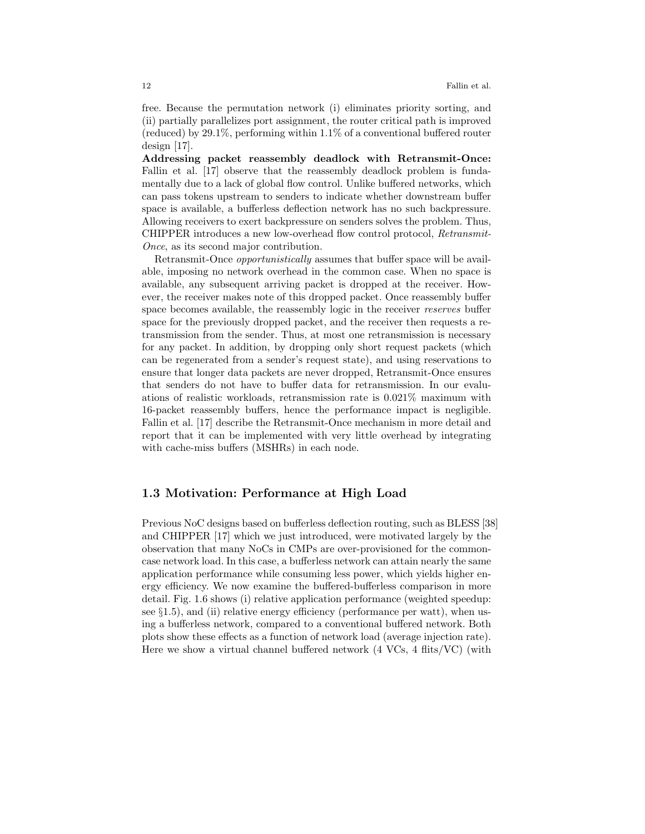free. Because the permutation network (i) eliminates priority sorting, and (ii) partially parallelizes port assignment, the router critical path is improved (reduced) by 29.1%, performing within 1.1% of a conventional buffered router design [17].

Addressing packet reassembly deadlock with Retransmit-Once: Fallin et al. [17] observe that the reassembly deadlock problem is fundamentally due to a lack of global flow control. Unlike buffered networks, which can pass tokens upstream to senders to indicate whether downstream buffer space is available, a bufferless deflection network has no such backpressure. Allowing receivers to exert backpressure on senders solves the problem. Thus, CHIPPER introduces a new low-overhead flow control protocol, Retransmit-Once, as its second major contribution.

Retransmit-Once *opportunistically* assumes that buffer space will be available, imposing no network overhead in the common case. When no space is available, any subsequent arriving packet is dropped at the receiver. However, the receiver makes note of this dropped packet. Once reassembly buffer space becomes available, the reassembly logic in the receiver *reserves* buffer space for the previously dropped packet, and the receiver then requests a retransmission from the sender. Thus, at most one retransmission is necessary for any packet. In addition, by dropping only short request packets (which can be regenerated from a sender's request state), and using reservations to ensure that longer data packets are never dropped, Retransmit-Once ensures that senders do not have to buffer data for retransmission. In our evaluations of realistic workloads, retransmission rate is 0.021% maximum with 16-packet reassembly buffers, hence the performance impact is negligible. Fallin et al. [17] describe the Retransmit-Once mechanism in more detail and report that it can be implemented with very little overhead by integrating with cache-miss buffers (MSHRs) in each node.

#### 1.3 Motivation: Performance at High Load

Previous NoC designs based on bufferless deflection routing, such as BLESS [38] and CHIPPER [17] which we just introduced, were motivated largely by the observation that many NoCs in CMPs are over-provisioned for the commoncase network load. In this case, a bufferless network can attain nearly the same application performance while consuming less power, which yields higher energy efficiency. We now examine the buffered-bufferless comparison in more detail. Fig. 1.6 shows (i) relative application performance (weighted speedup: see  $\S1.5$ ), and (ii) relative energy efficiency (performance per watt), when using a bufferless network, compared to a conventional buffered network. Both plots show these effects as a function of network load (average injection rate). Here we show a virtual channel buffered network (4 VCs, 4 flits/VC) (with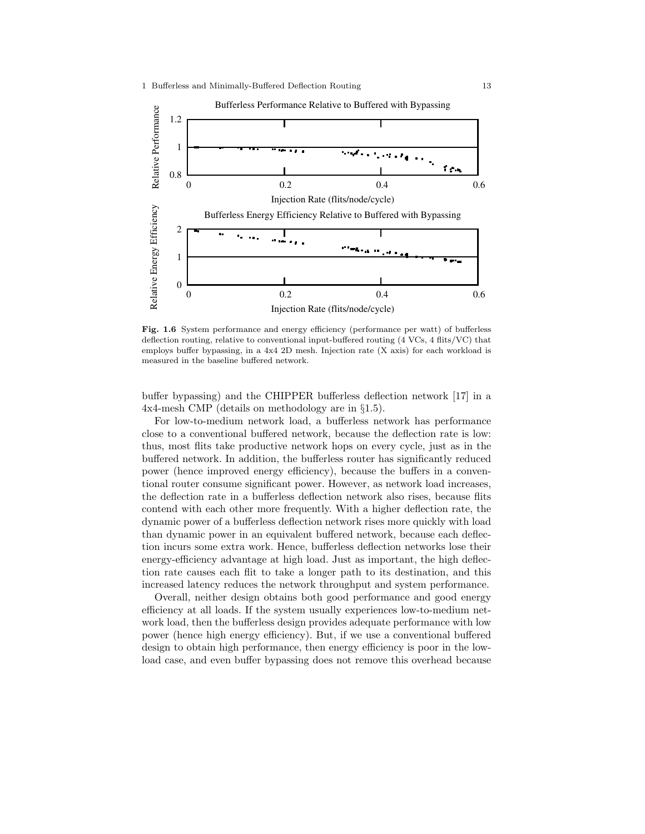

Fig. 1.6 System performance and energy efficiency (performance per watt) of bufferless deflection routing, relative to conventional input-buffered routing (4 VCs, 4 flits/VC) that employs buffer bypassing, in a 4x4 2D mesh. Injection rate (X axis) for each workload is measured in the baseline buffered network.

buffer bypassing) and the CHIPPER bufferless deflection network [17] in a 4x4-mesh CMP (details on methodology are in §1.5).

For low-to-medium network load, a bufferless network has performance close to a conventional buffered network, because the deflection rate is low: thus, most flits take productive network hops on every cycle, just as in the buffered network. In addition, the bufferless router has significantly reduced power (hence improved energy efficiency), because the buffers in a conventional router consume significant power. However, as network load increases, the deflection rate in a bufferless deflection network also rises, because flits contend with each other more frequently. With a higher deflection rate, the dynamic power of a bufferless deflection network rises more quickly with load than dynamic power in an equivalent buffered network, because each deflection incurs some extra work. Hence, bufferless deflection networks lose their energy-efficiency advantage at high load. Just as important, the high deflection rate causes each flit to take a longer path to its destination, and this increased latency reduces the network throughput and system performance.

Overall, neither design obtains both good performance and good energy efficiency at all loads. If the system usually experiences low-to-medium network load, then the bufferless design provides adequate performance with low power (hence high energy efficiency). But, if we use a conventional buffered design to obtain high performance, then energy efficiency is poor in the lowload case, and even buffer bypassing does not remove this overhead because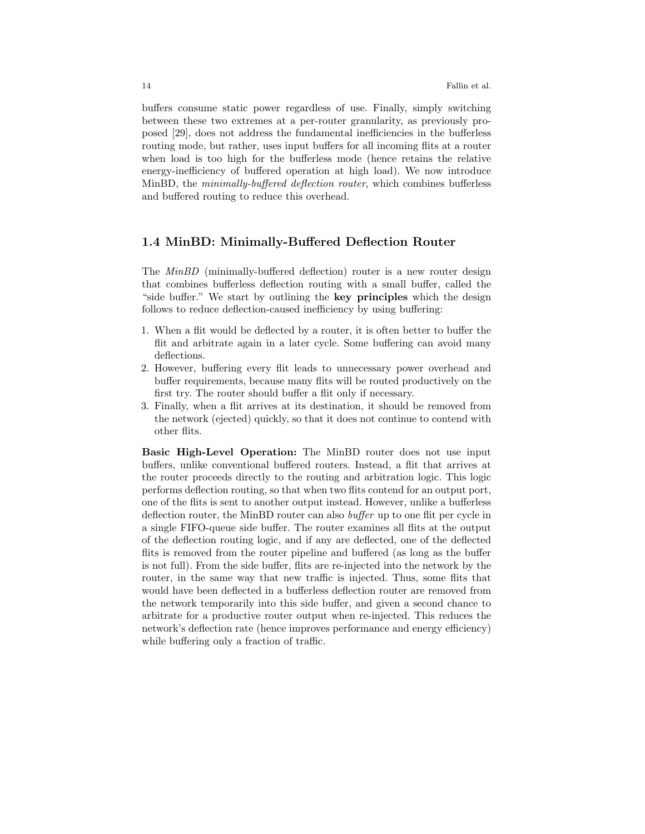buffers consume static power regardless of use. Finally, simply switching between these two extremes at a per-router granularity, as previously proposed [29], does not address the fundamental inefficiencies in the bufferless routing mode, but rather, uses input buffers for all incoming flits at a router when load is too high for the bufferless mode (hence retains the relative energy-inefficiency of buffered operation at high load). We now introduce MinBD, the minimally-buffered deflection router, which combines bufferless and buffered routing to reduce this overhead.

#### 1.4 MinBD: Minimally-Buffered Deflection Router

The MinBD (minimally-buffered deflection) router is a new router design that combines bufferless deflection routing with a small buffer, called the "side buffer." We start by outlining the key principles which the design follows to reduce deflection-caused inefficiency by using buffering:

- 1. When a flit would be deflected by a router, it is often better to buffer the flit and arbitrate again in a later cycle. Some buffering can avoid many deflections.
- 2. However, buffering every flit leads to unnecessary power overhead and buffer requirements, because many flits will be routed productively on the first try. The router should buffer a flit only if necessary.
- 3. Finally, when a flit arrives at its destination, it should be removed from the network (ejected) quickly, so that it does not continue to contend with other flits.

Basic High-Level Operation: The MinBD router does not use input buffers, unlike conventional buffered routers. Instead, a flit that arrives at the router proceeds directly to the routing and arbitration logic. This logic performs deflection routing, so that when two flits contend for an output port, one of the flits is sent to another output instead. However, unlike a bufferless deflection router, the MinBD router can also buffer up to one flit per cycle in a single FIFO-queue side buffer. The router examines all flits at the output of the deflection routing logic, and if any are deflected, one of the deflected flits is removed from the router pipeline and buffered (as long as the buffer is not full). From the side buffer, flits are re-injected into the network by the router, in the same way that new traffic is injected. Thus, some flits that would have been deflected in a bufferless deflection router are removed from the network temporarily into this side buffer, and given a second chance to arbitrate for a productive router output when re-injected. This reduces the network's deflection rate (hence improves performance and energy efficiency) while buffering only a fraction of traffic.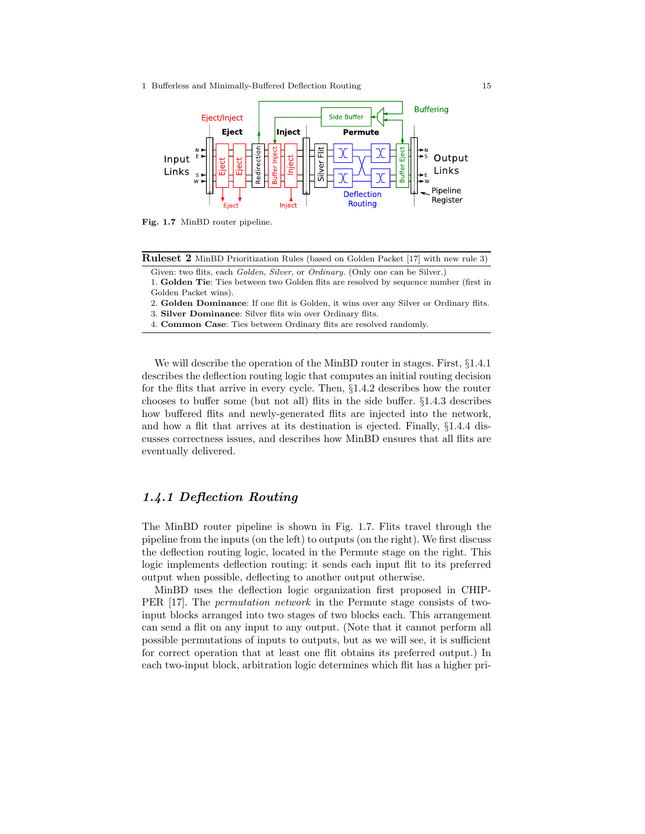1 Bufferless and Minimally-Buffered Deflection Routing 15



Fig. 1.7 MinBD router pipeline.

Ruleset 2 MinBD Prioritization Rules (based on Golden Packet [17] with new rule 3)

Given: two flits, each Golden, Silver, or Ordinary. (Only one can be Silver.) 1. Golden Tie: Ties between two Golden flits are resolved by sequence number (first in

2. Golden Dominance: If one flit is Golden, it wins over any Silver or Ordinary flits.

3. Silver Dominance: Silver flits win over Ordinary flits.

4. Common Case: Ties between Ordinary flits are resolved randomly.

We will describe the operation of the MinBD router in stages. First,  $\S 1.4.1$ describes the deflection routing logic that computes an initial routing decision for the flits that arrive in every cycle. Then, §1.4.2 describes how the router chooses to buffer some (but not all) flits in the side buffer. §1.4.3 describes how buffered flits and newly-generated flits are injected into the network, and how a flit that arrives at its destination is ejected. Finally, §1.4.4 discusses correctness issues, and describes how MinBD ensures that all flits are eventually delivered.

#### 1.4.1 Deflection Routing

The MinBD router pipeline is shown in Fig. 1.7. Flits travel through the pipeline from the inputs (on the left) to outputs (on the right). We first discuss the deflection routing logic, located in the Permute stage on the right. This logic implements deflection routing: it sends each input flit to its preferred output when possible, deflecting to another output otherwise.

MinBD uses the deflection logic organization first proposed in CHIP-PER [17]. The permutation network in the Permute stage consists of twoinput blocks arranged into two stages of two blocks each. This arrangement can send a flit on any input to any output. (Note that it cannot perform all possible permutations of inputs to outputs, but as we will see, it is sufficient for correct operation that at least one flit obtains its preferred output.) In each two-input block, arbitration logic determines which flit has a higher pri-

Golden Packet wins).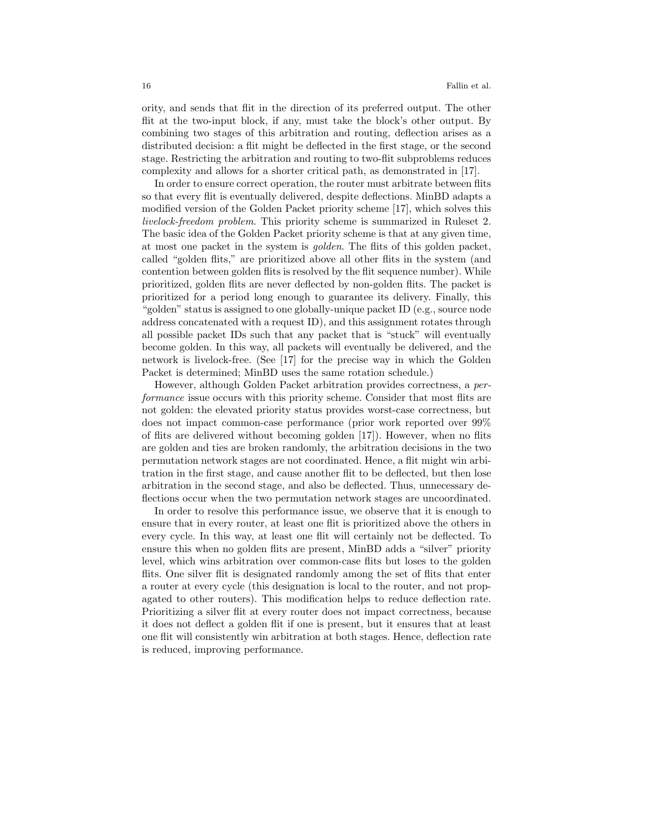ority, and sends that flit in the direction of its preferred output. The other flit at the two-input block, if any, must take the block's other output. By combining two stages of this arbitration and routing, deflection arises as a distributed decision: a flit might be deflected in the first stage, or the second stage. Restricting the arbitration and routing to two-flit subproblems reduces complexity and allows for a shorter critical path, as demonstrated in [17].

In order to ensure correct operation, the router must arbitrate between flits so that every flit is eventually delivered, despite deflections. MinBD adapts a modified version of the Golden Packet priority scheme [17], which solves this livelock-freedom problem. This priority scheme is summarized in Ruleset 2. The basic idea of the Golden Packet priority scheme is that at any given time, at most one packet in the system is golden. The flits of this golden packet, called "golden flits," are prioritized above all other flits in the system (and contention between golden flits is resolved by the flit sequence number). While prioritized, golden flits are never deflected by non-golden flits. The packet is prioritized for a period long enough to guarantee its delivery. Finally, this "golden" status is assigned to one globally-unique packet ID (e.g., source node address concatenated with a request ID), and this assignment rotates through all possible packet IDs such that any packet that is "stuck" will eventually become golden. In this way, all packets will eventually be delivered, and the network is livelock-free. (See [17] for the precise way in which the Golden Packet is determined; MinBD uses the same rotation schedule.)

However, although Golden Packet arbitration provides correctness, a performance issue occurs with this priority scheme. Consider that most flits are not golden: the elevated priority status provides worst-case correctness, but does not impact common-case performance (prior work reported over 99% of flits are delivered without becoming golden [17]). However, when no flits are golden and ties are broken randomly, the arbitration decisions in the two permutation network stages are not coordinated. Hence, a flit might win arbitration in the first stage, and cause another flit to be deflected, but then lose arbitration in the second stage, and also be deflected. Thus, unnecessary deflections occur when the two permutation network stages are uncoordinated.

In order to resolve this performance issue, we observe that it is enough to ensure that in every router, at least one flit is prioritized above the others in every cycle. In this way, at least one flit will certainly not be deflected. To ensure this when no golden flits are present, MinBD adds a "silver" priority level, which wins arbitration over common-case flits but loses to the golden flits. One silver flit is designated randomly among the set of flits that enter a router at every cycle (this designation is local to the router, and not propagated to other routers). This modification helps to reduce deflection rate. Prioritizing a silver flit at every router does not impact correctness, because it does not deflect a golden flit if one is present, but it ensures that at least one flit will consistently win arbitration at both stages. Hence, deflection rate is reduced, improving performance.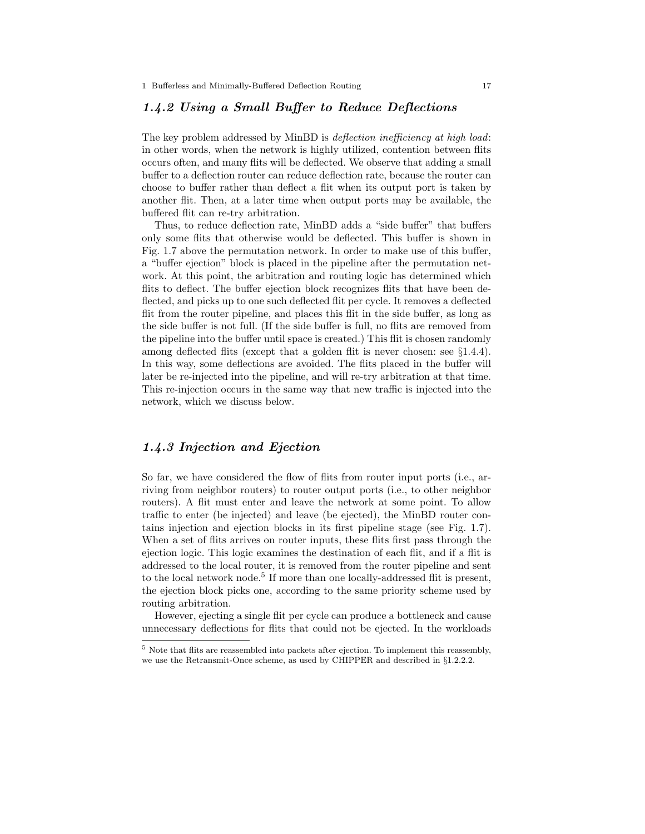#### 1.4.2 Using a Small Buffer to Reduce Deflections

The key problem addressed by MinBD is deflection inefficiency at high load: in other words, when the network is highly utilized, contention between flits occurs often, and many flits will be deflected. We observe that adding a small buffer to a deflection router can reduce deflection rate, because the router can choose to buffer rather than deflect a flit when its output port is taken by another flit. Then, at a later time when output ports may be available, the buffered flit can re-try arbitration.

Thus, to reduce deflection rate, MinBD adds a "side buffer" that buffers only some flits that otherwise would be deflected. This buffer is shown in Fig. 1.7 above the permutation network. In order to make use of this buffer, a "buffer ejection" block is placed in the pipeline after the permutation network. At this point, the arbitration and routing logic has determined which flits to deflect. The buffer ejection block recognizes flits that have been deflected, and picks up to one such deflected flit per cycle. It removes a deflected flit from the router pipeline, and places this flit in the side buffer, as long as the side buffer is not full. (If the side buffer is full, no flits are removed from the pipeline into the buffer until space is created.) This flit is chosen randomly among deflected flits (except that a golden flit is never chosen: see  $\S 1.4.4$ ). In this way, some deflections are avoided. The flits placed in the buffer will later be re-injected into the pipeline, and will re-try arbitration at that time. This re-injection occurs in the same way that new traffic is injected into the network, which we discuss below.

#### 1.4.3 Injection and Ejection

So far, we have considered the flow of flits from router input ports (i.e., arriving from neighbor routers) to router output ports (i.e., to other neighbor routers). A flit must enter and leave the network at some point. To allow traffic to enter (be injected) and leave (be ejected), the MinBD router contains injection and ejection blocks in its first pipeline stage (see Fig. 1.7). When a set of flits arrives on router inputs, these flits first pass through the ejection logic. This logic examines the destination of each flit, and if a flit is addressed to the local router, it is removed from the router pipeline and sent to the local network node.<sup>5</sup> If more than one locally-addressed flit is present, the ejection block picks one, according to the same priority scheme used by routing arbitration.

However, ejecting a single flit per cycle can produce a bottleneck and cause unnecessary deflections for flits that could not be ejected. In the workloads

<sup>5</sup> Note that flits are reassembled into packets after ejection. To implement this reassembly, we use the Retransmit-Once scheme, as used by CHIPPER and described in §1.2.2.2.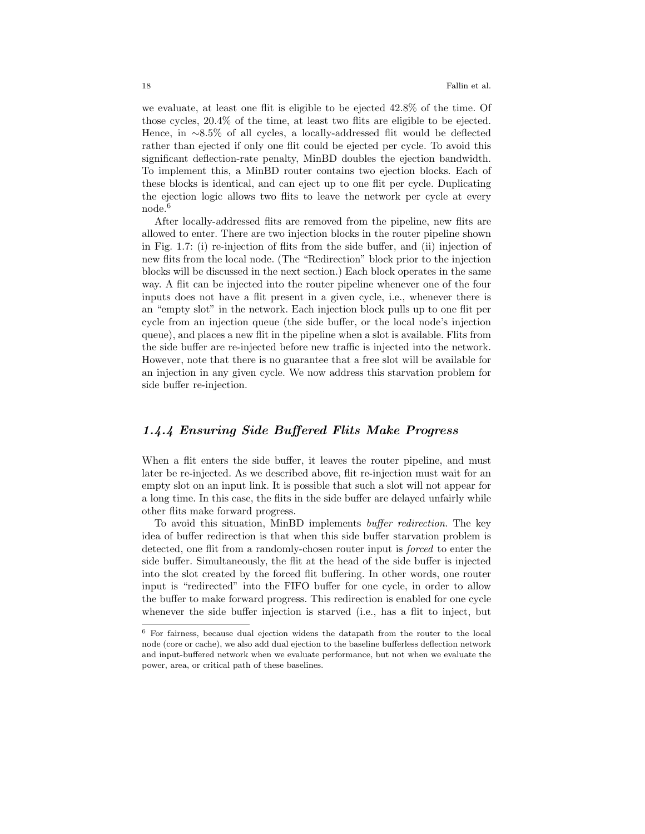we evaluate, at least one flit is eligible to be ejected 42.8% of the time. Of those cycles, 20.4% of the time, at least two flits are eligible to be ejected. Hence, in ∼8.5% of all cycles, a locally-addressed flit would be deflected rather than ejected if only one flit could be ejected per cycle. To avoid this significant deflection-rate penalty, MinBD doubles the ejection bandwidth. To implement this, a MinBD router contains two ejection blocks. Each of these blocks is identical, and can eject up to one flit per cycle. Duplicating the ejection logic allows two flits to leave the network per cycle at every node.<sup>6</sup>

After locally-addressed flits are removed from the pipeline, new flits are allowed to enter. There are two injection blocks in the router pipeline shown in Fig. 1.7: (i) re-injection of flits from the side buffer, and (ii) injection of new flits from the local node. (The "Redirection" block prior to the injection blocks will be discussed in the next section.) Each block operates in the same way. A flit can be injected into the router pipeline whenever one of the four inputs does not have a flit present in a given cycle, i.e., whenever there is an "empty slot" in the network. Each injection block pulls up to one flit per cycle from an injection queue (the side buffer, or the local node's injection queue), and places a new flit in the pipeline when a slot is available. Flits from the side buffer are re-injected before new traffic is injected into the network. However, note that there is no guarantee that a free slot will be available for an injection in any given cycle. We now address this starvation problem for side buffer re-injection.

#### 1.4.4 Ensuring Side Buffered Flits Make Progress

When a flit enters the side buffer, it leaves the router pipeline, and must later be re-injected. As we described above, flit re-injection must wait for an empty slot on an input link. It is possible that such a slot will not appear for a long time. In this case, the flits in the side buffer are delayed unfairly while other flits make forward progress.

To avoid this situation, MinBD implements buffer redirection. The key idea of buffer redirection is that when this side buffer starvation problem is detected, one flit from a randomly-chosen router input is *forced* to enter the side buffer. Simultaneously, the flit at the head of the side buffer is injected into the slot created by the forced flit buffering. In other words, one router input is "redirected" into the FIFO buffer for one cycle, in order to allow the buffer to make forward progress. This redirection is enabled for one cycle whenever the side buffer injection is starved (i.e., has a flit to inject, but

<sup>6</sup> For fairness, because dual ejection widens the datapath from the router to the local node (core or cache), we also add dual ejection to the baseline bufferless deflection network and input-buffered network when we evaluate performance, but not when we evaluate the power, area, or critical path of these baselines.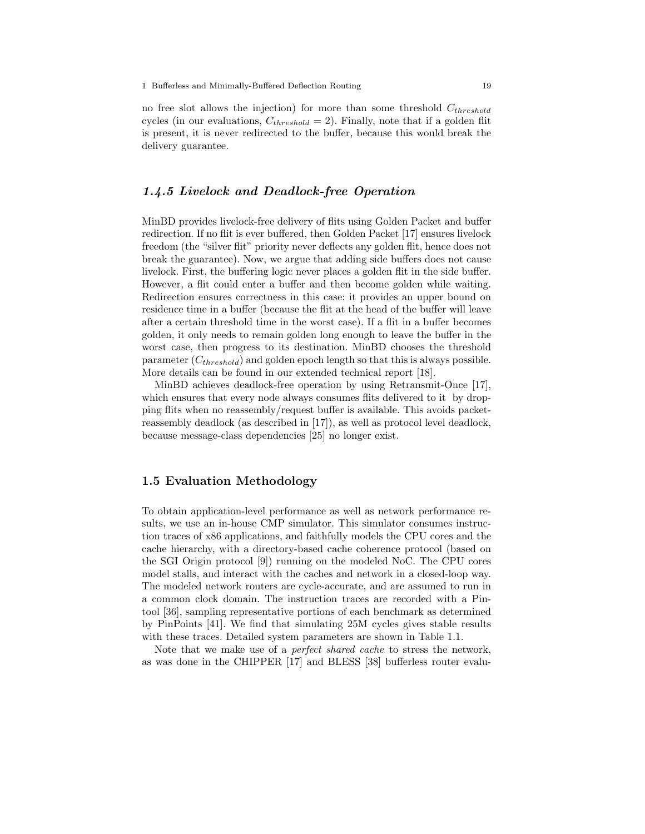no free slot allows the injection) for more than some threshold  $C_{threshold}$ cycles (in our evaluations,  $C_{threshold} = 2$ ). Finally, note that if a golden flit is present, it is never redirected to the buffer, because this would break the delivery guarantee.

#### 1.4.5 Livelock and Deadlock-free Operation

MinBD provides livelock-free delivery of flits using Golden Packet and buffer redirection. If no flit is ever buffered, then Golden Packet [17] ensures livelock freedom (the "silver flit" priority never deflects any golden flit, hence does not break the guarantee). Now, we argue that adding side buffers does not cause livelock. First, the buffering logic never places a golden flit in the side buffer. However, a flit could enter a buffer and then become golden while waiting. Redirection ensures correctness in this case: it provides an upper bound on residence time in a buffer (because the flit at the head of the buffer will leave after a certain threshold time in the worst case). If a flit in a buffer becomes golden, it only needs to remain golden long enough to leave the buffer in the worst case, then progress to its destination. MinBD chooses the threshold parameter  $(C_{threshold})$  and golden epoch length so that this is always possible. More details can be found in our extended technical report [18].

MinBD achieves deadlock-free operation by using Retransmit-Once [17], which ensures that every node always consumes flits delivered to it by dropping flits when no reassembly/request buffer is available. This avoids packetreassembly deadlock (as described in [17]), as well as protocol level deadlock, because message-class dependencies [25] no longer exist.

#### 1.5 Evaluation Methodology

To obtain application-level performance as well as network performance results, we use an in-house CMP simulator. This simulator consumes instruction traces of x86 applications, and faithfully models the CPU cores and the cache hierarchy, with a directory-based cache coherence protocol (based on the SGI Origin protocol [9]) running on the modeled NoC. The CPU cores model stalls, and interact with the caches and network in a closed-loop way. The modeled network routers are cycle-accurate, and are assumed to run in a common clock domain. The instruction traces are recorded with a Pintool [36], sampling representative portions of each benchmark as determined by PinPoints [41]. We find that simulating 25M cycles gives stable results with these traces. Detailed system parameters are shown in Table 1.1.

Note that we make use of a *perfect shared cache* to stress the network, as was done in the CHIPPER [17] and BLESS [38] bufferless router evalu-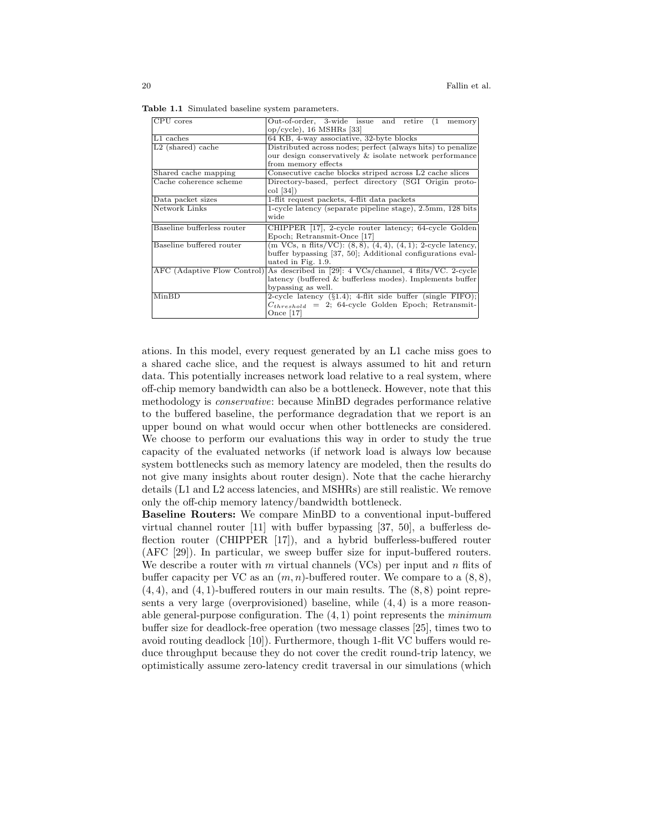| CPU cores                   | Out-of-order, 3-wide issue and retire<br>(1)<br>memory<br>$op/cycle$ , 16 MSHRs [33] |  |  |  |  |  |  |  |  |  |
|-----------------------------|--------------------------------------------------------------------------------------|--|--|--|--|--|--|--|--|--|
| L1 caches                   | 64 KB, 4-way associative, 32-byte blocks                                             |  |  |  |  |  |  |  |  |  |
| L2 (shared) cache           | Distributed across nodes; perfect (always hits) to penalize                          |  |  |  |  |  |  |  |  |  |
|                             | our design conservatively & isolate network performance                              |  |  |  |  |  |  |  |  |  |
|                             | from memory effects                                                                  |  |  |  |  |  |  |  |  |  |
| Shared cache mapping        | Consecutive cache blocks striped across L2 cache slices                              |  |  |  |  |  |  |  |  |  |
| Cache coherence scheme      | Directory-based, perfect directory (SGI Origin proto-                                |  |  |  |  |  |  |  |  |  |
|                             | col [34])                                                                            |  |  |  |  |  |  |  |  |  |
| Data packet sizes           | 1-flit request packets, 4-flit data packets                                          |  |  |  |  |  |  |  |  |  |
| Network Links               | 1-cycle latency (separate pipeline stage), 2.5mm, 128 bits                           |  |  |  |  |  |  |  |  |  |
|                             | wide                                                                                 |  |  |  |  |  |  |  |  |  |
| Baseline bufferless router  | CHIPPER [17], 2-cycle router latency; 64-cycle Golden                                |  |  |  |  |  |  |  |  |  |
|                             | Epoch; Retransmit-Once [17]                                                          |  |  |  |  |  |  |  |  |  |
| Baseline buffered router    | $(m \text{ VCs}, n \text{ fits/VC})$ : $(8, 8), (4, 4), (4, 1)$ ; 2-cycle latency,   |  |  |  |  |  |  |  |  |  |
|                             | buffer bypassing [37, 50]; Additional configurations eval-                           |  |  |  |  |  |  |  |  |  |
|                             | uated in Fig. 1.9.                                                                   |  |  |  |  |  |  |  |  |  |
| AFC (Adaptive Flow Control) | As described in [29]: 4 VCs/channel, 4 flits/VC. 2-cycle                             |  |  |  |  |  |  |  |  |  |
|                             | latency (buffered & bufferless modes). Implements buffer                             |  |  |  |  |  |  |  |  |  |
|                             | bypassing as well.                                                                   |  |  |  |  |  |  |  |  |  |
| MinBD                       | 2-cycle latency $(\S1.4)$ ; 4-flit side buffer (single FIFO);                        |  |  |  |  |  |  |  |  |  |
|                             | $C_{threshold}$ = 2; 64-cycle Golden Epoch; Retransmit-                              |  |  |  |  |  |  |  |  |  |
|                             | Once $ 17 $                                                                          |  |  |  |  |  |  |  |  |  |

Table 1.1 Simulated baseline system parameters.

ations. In this model, every request generated by an L1 cache miss goes to a shared cache slice, and the request is always assumed to hit and return data. This potentially increases network load relative to a real system, where off-chip memory bandwidth can also be a bottleneck. However, note that this methodology is conservative: because MinBD degrades performance relative to the buffered baseline, the performance degradation that we report is an upper bound on what would occur when other bottlenecks are considered. We choose to perform our evaluations this way in order to study the true capacity of the evaluated networks (if network load is always low because system bottlenecks such as memory latency are modeled, then the results do not give many insights about router design). Note that the cache hierarchy details (L1 and L2 access latencies, and MSHRs) are still realistic. We remove only the off-chip memory latency/bandwidth bottleneck.

Baseline Routers: We compare MinBD to a conventional input-buffered virtual channel router [11] with buffer bypassing [37, 50], a bufferless deflection router (CHIPPER [17]), and a hybrid bufferless-buffered router (AFC [29]). In particular, we sweep buffer size for input-buffered routers. We describe a router with m virtual channels (VCs) per input and n flits of buffer capacity per VC as an  $(m, n)$ -buffered router. We compare to a  $(8, 8)$ ,  $(4, 4)$ , and  $(4, 1)$ -buffered routers in our main results. The  $(8, 8)$  point represents a very large (overprovisioned) baseline, while  $(4, 4)$  is a more reasonable general-purpose configuration. The  $(4, 1)$  point represents the *minimum* buffer size for deadlock-free operation (two message classes [25], times two to avoid routing deadlock [10]). Furthermore, though 1-flit VC buffers would reduce throughput because they do not cover the credit round-trip latency, we optimistically assume zero-latency credit traversal in our simulations (which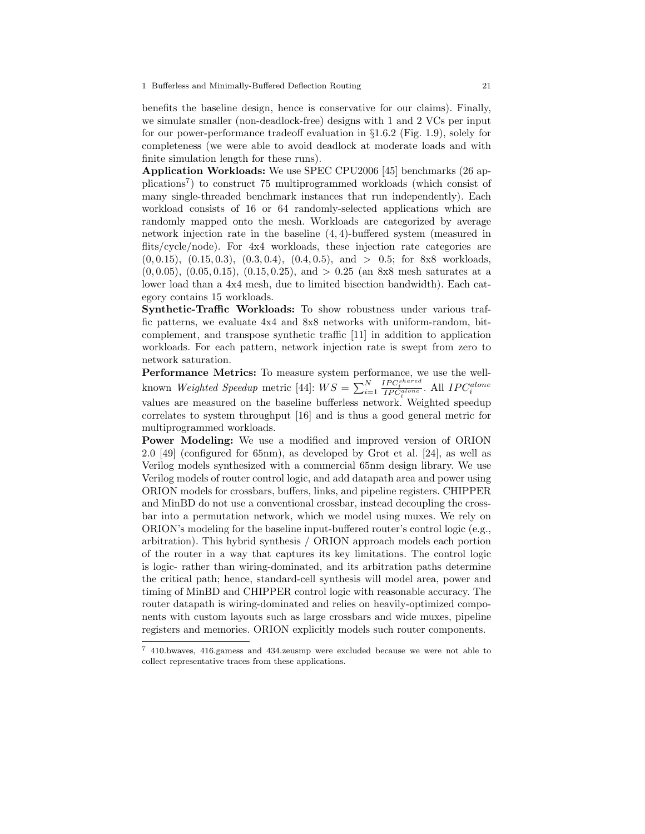benefits the baseline design, hence is conservative for our claims). Finally, we simulate smaller (non-deadlock-free) designs with 1 and 2 VCs per input for our power-performance tradeoff evaluation in §1.6.2 (Fig. 1.9), solely for completeness (we were able to avoid deadlock at moderate loads and with finite simulation length for these runs).

Application Workloads: We use SPEC CPU2006 [45] benchmarks (26 applications<sup>7</sup> ) to construct 75 multiprogrammed workloads (which consist of many single-threaded benchmark instances that run independently). Each workload consists of 16 or 64 randomly-selected applications which are randomly mapped onto the mesh. Workloads are categorized by average network injection rate in the baseline  $(4, 4)$ -buffered system (measured in flits/cycle/node). For 4x4 workloads, these injection rate categories are  $(0, 0.15), (0.15, 0.3), (0.3, 0.4), (0.4, 0.5), \text{ and } > 0.5$ ; for 8x8 workloads,  $(0, 0.05), (0.05, 0.15), (0.15, 0.25), \text{ and } > 0.25 \text{ (an 8x8 mesh saturates at a)}$ lower load than a 4x4 mesh, due to limited bisection bandwidth). Each category contains 15 workloads.

Synthetic-Traffic Workloads: To show robustness under various traffic patterns, we evaluate 4x4 and 8x8 networks with uniform-random, bitcomplement, and transpose synthetic traffic [11] in addition to application workloads. For each pattern, network injection rate is swept from zero to network saturation.

Performance Metrics: To measure system performance, we use the wellknown Weighted Speedup metric [44]:  $WS = \sum_{i=1}^{N}$  $\frac{IPC_i^{shared}}{IPC_i^{alone}}$ . All  $IPC_i^{alone}$ values are measured on the baseline bufferless network. Weighted speedup correlates to system throughput [16] and is thus a good general metric for multiprogrammed workloads.

Power Modeling: We use a modified and improved version of ORION 2.0 [49] (configured for 65nm), as developed by Grot et al. [24], as well as Verilog models synthesized with a commercial 65nm design library. We use Verilog models of router control logic, and add datapath area and power using ORION models for crossbars, buffers, links, and pipeline registers. CHIPPER and MinBD do not use a conventional crossbar, instead decoupling the crossbar into a permutation network, which we model using muxes. We rely on ORION's modeling for the baseline input-buffered router's control logic (e.g., arbitration). This hybrid synthesis / ORION approach models each portion of the router in a way that captures its key limitations. The control logic is logic- rather than wiring-dominated, and its arbitration paths determine the critical path; hence, standard-cell synthesis will model area, power and timing of MinBD and CHIPPER control logic with reasonable accuracy. The router datapath is wiring-dominated and relies on heavily-optimized components with custom layouts such as large crossbars and wide muxes, pipeline registers and memories. ORION explicitly models such router components.

<sup>7</sup> 410.bwaves, 416.gamess and 434.zeusmp were excluded because we were not able to collect representative traces from these applications.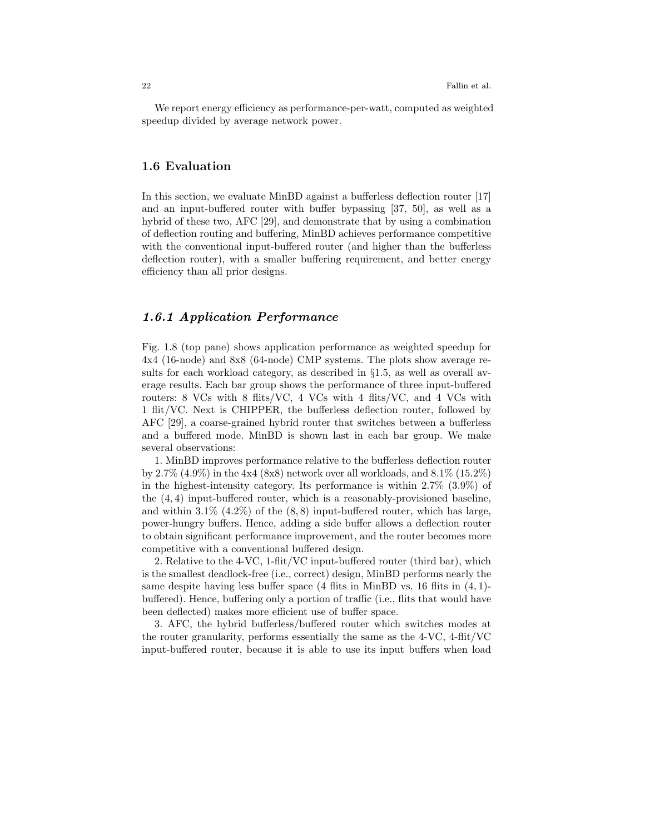We report energy efficiency as performance-per-watt, computed as weighted speedup divided by average network power.

#### 1.6 Evaluation

In this section, we evaluate MinBD against a bufferless deflection router [17] and an input-buffered router with buffer bypassing [37, 50], as well as a hybrid of these two, AFC [29], and demonstrate that by using a combination of deflection routing and buffering, MinBD achieves performance competitive with the conventional input-buffered router (and higher than the bufferless deflection router), with a smaller buffering requirement, and better energy efficiency than all prior designs.

#### 1.6.1 Application Performance

Fig. 1.8 (top pane) shows application performance as weighted speedup for 4x4 (16-node) and 8x8 (64-node) CMP systems. The plots show average results for each workload category, as described in §1.5, as well as overall average results. Each bar group shows the performance of three input-buffered routers: 8 VCs with 8 flits/VC, 4 VCs with 4 flits/VC, and 4 VCs with 1 flit/VC. Next is CHIPPER, the bufferless deflection router, followed by AFC [29], a coarse-grained hybrid router that switches between a bufferless and a buffered mode. MinBD is shown last in each bar group. We make several observations:

1. MinBD improves performance relative to the bufferless deflection router by 2.7% (4.9%) in the 4x4 (8x8) network over all workloads, and 8.1% (15.2%) in the highest-intensity category. Its performance is within 2.7% (3.9%) of the (4, 4) input-buffered router, which is a reasonably-provisioned baseline, and within  $3.1\%$  (4.2%) of the  $(8, 8)$  input-buffered router, which has large, power-hungry buffers. Hence, adding a side buffer allows a deflection router to obtain significant performance improvement, and the router becomes more competitive with a conventional buffered design.

2. Relative to the 4-VC, 1-flit/VC input-buffered router (third bar), which is the smallest deadlock-free (i.e., correct) design, MinBD performs nearly the same despite having less buffer space  $(4 \text{ fits in MinBD vs. } 16 \text{ fits in } (4, 1)$ buffered). Hence, buffering only a portion of traffic (i.e., flits that would have been deflected) makes more efficient use of buffer space.

3. AFC, the hybrid bufferless/buffered router which switches modes at the router granularity, performs essentially the same as the 4-VC, 4-flit/VC input-buffered router, because it is able to use its input buffers when load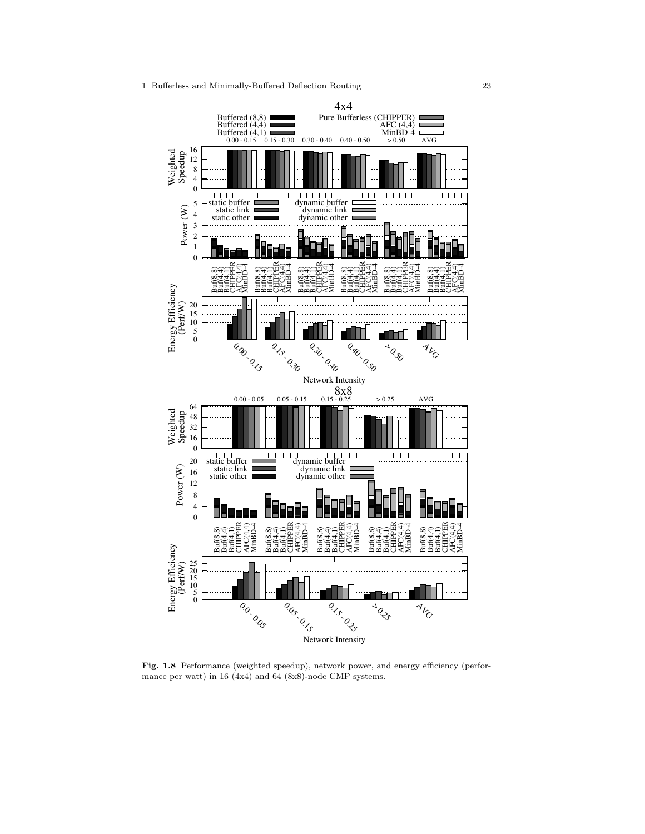

Fig. 1.8 Performance (weighted speedup), network power, and energy efficiency (performance per watt) in 16 (4x4) and 64 (8x8)-node CMP systems.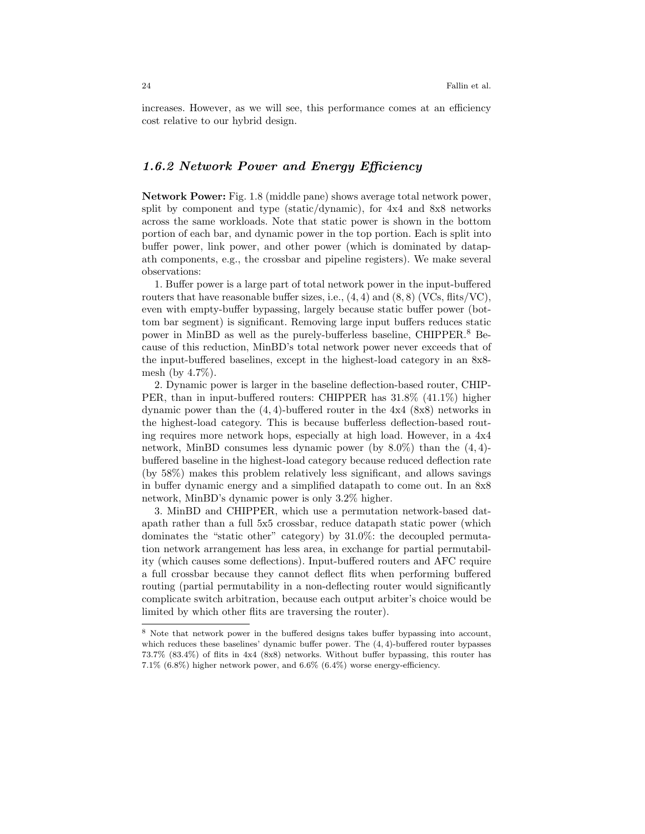increases. However, as we will see, this performance comes at an efficiency cost relative to our hybrid design.

#### 1.6.2 Network Power and Energy Efficiency

Network Power: Fig. 1.8 (middle pane) shows average total network power, split by component and type (static/dynamic), for 4x4 and 8x8 networks across the same workloads. Note that static power is shown in the bottom portion of each bar, and dynamic power in the top portion. Each is split into buffer power, link power, and other power (which is dominated by datapath components, e.g., the crossbar and pipeline registers). We make several observations:

1. Buffer power is a large part of total network power in the input-buffered routers that have reasonable buffer sizes, i.e.,  $(4, 4)$  and  $(8, 8)$  (VCs, flits/VC), even with empty-buffer bypassing, largely because static buffer power (bottom bar segment) is significant. Removing large input buffers reduces static power in MinBD as well as the purely-bufferless baseline, CHIPPER.<sup>8</sup> Because of this reduction, MinBD's total network power never exceeds that of the input-buffered baselines, except in the highest-load category in an 8x8 mesh (by 4.7%).

2. Dynamic power is larger in the baseline deflection-based router, CHIP-PER, than in input-buffered routers: CHIPPER has 31.8% (41.1%) higher dynamic power than the (4, 4)-buffered router in the 4x4 (8x8) networks in the highest-load category. This is because bufferless deflection-based routing requires more network hops, especially at high load. However, in a 4x4 network, MinBD consumes less dynamic power (by 8.0%) than the (4, 4) buffered baseline in the highest-load category because reduced deflection rate (by 58%) makes this problem relatively less significant, and allows savings in buffer dynamic energy and a simplified datapath to come out. In an 8x8 network, MinBD's dynamic power is only 3.2% higher.

3. MinBD and CHIPPER, which use a permutation network-based datapath rather than a full 5x5 crossbar, reduce datapath static power (which dominates the "static other" category) by 31.0%: the decoupled permutation network arrangement has less area, in exchange for partial permutability (which causes some deflections). Input-buffered routers and AFC require a full crossbar because they cannot deflect flits when performing buffered routing (partial permutability in a non-deflecting router would significantly complicate switch arbitration, because each output arbiter's choice would be limited by which other flits are traversing the router).

<sup>8</sup> Note that network power in the buffered designs takes buffer bypassing into account, which reduces these baselines' dynamic buffer power. The  $(4, 4)$ -buffered router bypasses 73.7% (83.4%) of flits in 4x4 (8x8) networks. Without buffer bypassing, this router has 7.1% (6.8%) higher network power, and 6.6% (6.4%) worse energy-efficiency.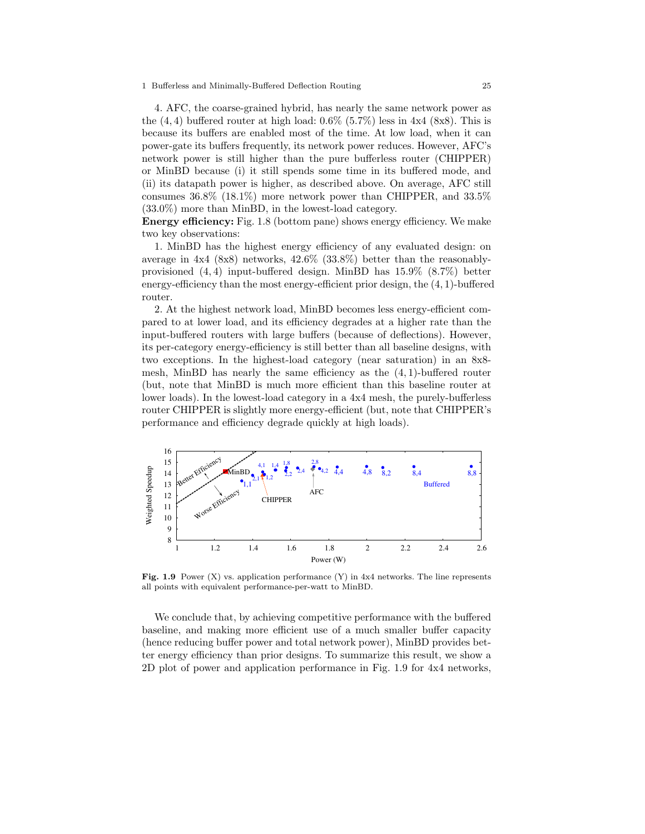4. AFC, the coarse-grained hybrid, has nearly the same network power as the  $(4, 4)$  buffered router at high load:  $0.6\%$   $(5.7\%)$  less in  $4x4$   $(8x8)$ . This is because its buffers are enabled most of the time. At low load, when it can power-gate its buffers frequently, its network power reduces. However, AFC's network power is still higher than the pure bufferless router (CHIPPER) or MinBD because (i) it still spends some time in its buffered mode, and (ii) its datapath power is higher, as described above. On average, AFC still consumes 36.8% (18.1%) more network power than CHIPPER, and 33.5% (33.0%) more than MinBD, in the lowest-load category.

Energy efficiency: Fig. 1.8 (bottom pane) shows energy efficiency. We make two key observations:

1. MinBD has the highest energy efficiency of any evaluated design: on average in 4x4 (8x8) networks, 42.6% (33.8%) better than the reasonablyprovisioned (4, 4) input-buffered design. MinBD has 15.9% (8.7%) better energy-efficiency than the most energy-efficient prior design, the (4, 1)-buffered router.

2. At the highest network load, MinBD becomes less energy-efficient compared to at lower load, and its efficiency degrades at a higher rate than the input-buffered routers with large buffers (because of deflections). However, its per-category energy-efficiency is still better than all baseline designs, with two exceptions. In the highest-load category (near saturation) in an 8x8 mesh, MinBD has nearly the same efficiency as the  $(4, 1)$ -buffered router (but, note that MinBD is much more efficient than this baseline router at lower loads). In the lowest-load category in a 4x4 mesh, the purely-bufferless router CHIPPER is slightly more energy-efficient (but, note that CHIPPER's performance and efficiency degrade quickly at high loads).



**Fig. 1.9** Power  $(X)$  vs. application performance  $(Y)$  in  $4x4$  networks. The line represents all points with equivalent performance-per-watt to MinBD.

We conclude that, by achieving competitive performance with the buffered baseline, and making more efficient use of a much smaller buffer capacity (hence reducing buffer power and total network power), MinBD provides better energy efficiency than prior designs. To summarize this result, we show a 2D plot of power and application performance in Fig. 1.9 for 4x4 networks,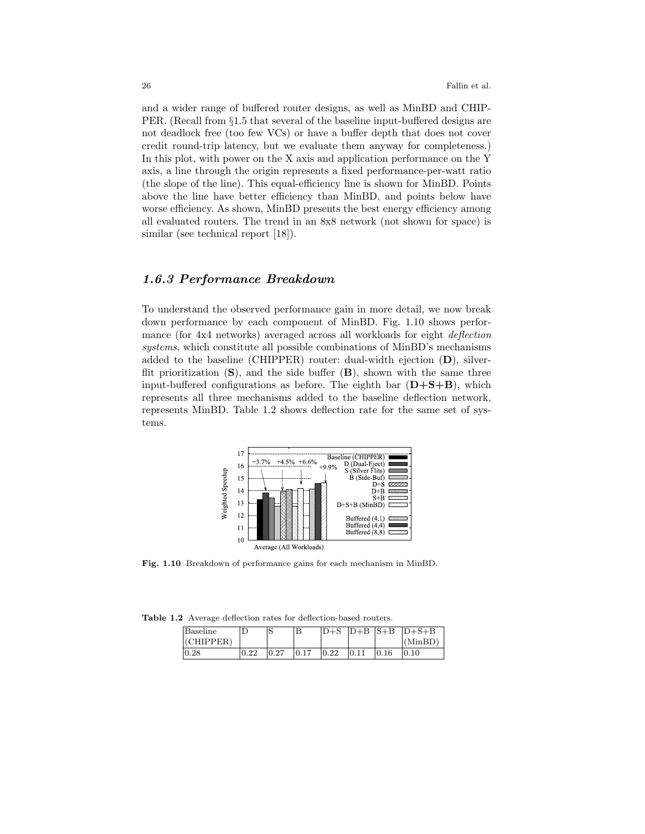and a wider range of buffered router designs, as well as MinBD and CHIP-PER. (Recall from §1.5 that several of the baseline input-buffered designs are not deadlock free (too few VCs) or have a buffer depth that does not cover credit round-trip latency, but we evaluate them anyway for completeness.) In this plot, with power on the X axis and application performance on the Y axis, a line through the origin represents a fixed performance-per-watt ratio (the slope of the line). This equal-efficiency line is shown for MinBD. Points above the line have better efficiency than MinBD, and points below have worse efficiency. As shown, MinBD presents the best energy efficiency among all evaluated routers. The trend in an 8x8 network (not shown for space) is similar (see technical report [18]).

## 1.6.3 Performance Breakdown

To understand the observed performance gain in more detail, we now break down performance by each component of MinBD. Fig. 1.10 shows performance (for 4x4 networks) averaged across all workloads for eight deflection systems, which constitute all possible combinations of MinBD's mechanisms added to the baseline (CHIPPER) router: dual-width ejection (D), silverflit prioritization  $(S)$ , and the side buffer  $(B)$ , shown with the same three input-buffered configurations as before. The eighth bar  $(D+S+B)$ , which represents all three mechanisms added to the baseline deflection network, represents MinBD. Table 1.2 shows deflection rate for the same set of systems.



Fig. 1.10 Breakdown of performance gains for each mechanism in MinBD.

Table 1.2 Average deflection rates for deflection-based routers.

| Baseline  |      | ມ     | B    |                | $ D+B $ $ S+B $ |      | $D+S+B$        |
|-----------|------|-------|------|----------------|-----------------|------|----------------|
| (CHIPPER) |      |       |      |                |                 |      | I(MinBD)       |
| 0.28      | 0.22 | IN 97 | 0.17 | $ 0.22\rangle$ |                 | 0.16 | $ 0.10\rangle$ |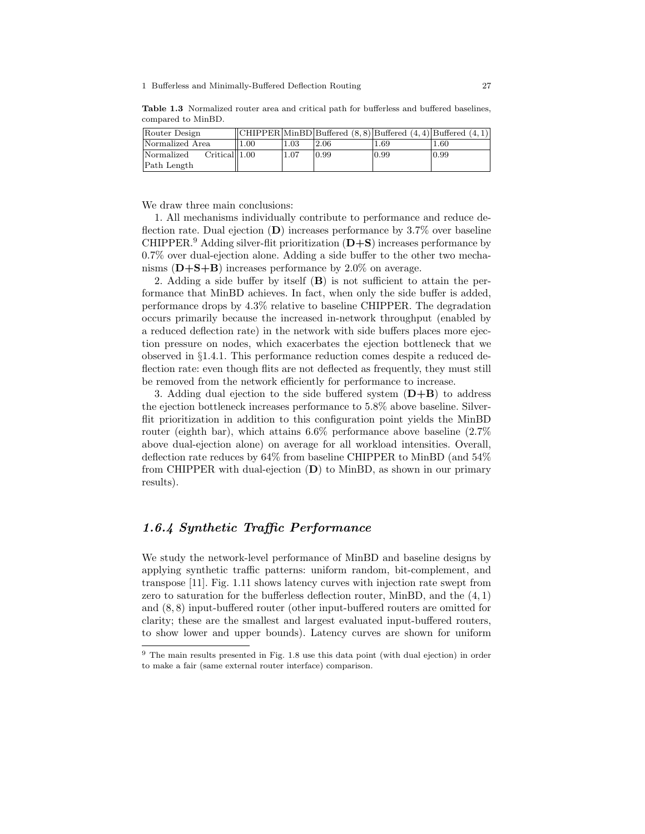Table 1.3 Normalized router area and critical path for bufferless and buffered baselines, compared to MinBD.

| Router Design               |          |          | $\vert$ CHIPPER $\vert$ MinBD $\vert$ Buffered $(8,8)\vert$ Buffered $(4,4)\vert$ Buffered $(4,1)$ |      |          |
|-----------------------------|----------|----------|----------------------------------------------------------------------------------------------------|------|----------|
| Normalized Area             | $1.00\,$ | $1.03\,$ | 12.06                                                                                              | 1.69 | $1.60\,$ |
| Normalized<br>Critical 1.00 |          | 1.07     | 0.99                                                                                               | 0.99 | 0.99     |
| Path Length                 |          |          |                                                                                                    |      |          |

We draw three main conclusions:

1. All mechanisms individually contribute to performance and reduce deflection rate. Dual ejection  $(D)$  increases performance by 3.7% over baseline CHIPPER.<sup>9</sup> Adding silver-flit prioritization  $(D+S)$  increases performance by 0.7% over dual-ejection alone. Adding a side buffer to the other two mechanisms  $(D+S+B)$  increases performance by 2.0% on average.

2. Adding a side buffer by itself (B) is not sufficient to attain the performance that MinBD achieves. In fact, when only the side buffer is added, performance drops by 4.3% relative to baseline CHIPPER. The degradation occurs primarily because the increased in-network throughput (enabled by a reduced deflection rate) in the network with side buffers places more ejection pressure on nodes, which exacerbates the ejection bottleneck that we observed in §1.4.1. This performance reduction comes despite a reduced deflection rate: even though flits are not deflected as frequently, they must still be removed from the network efficiently for performance to increase.

3. Adding dual ejection to the side buffered system  $(D+B)$  to address the ejection bottleneck increases performance to 5.8% above baseline. Silverflit prioritization in addition to this configuration point yields the MinBD router (eighth bar), which attains 6.6% performance above baseline (2.7% above dual-ejection alone) on average for all workload intensities. Overall, deflection rate reduces by 64% from baseline CHIPPER to MinBD (and 54% from CHIPPER with dual-ejection  $(D)$  to MinBD, as shown in our primary results).

#### 1.6.4 Synthetic Traffic Performance

We study the network-level performance of MinBD and baseline designs by applying synthetic traffic patterns: uniform random, bit-complement, and transpose [11]. Fig. 1.11 shows latency curves with injection rate swept from zero to saturation for the bufferless deflection router, MinBD, and the (4, 1) and (8, 8) input-buffered router (other input-buffered routers are omitted for clarity; these are the smallest and largest evaluated input-buffered routers, to show lower and upper bounds). Latency curves are shown for uniform

<sup>9</sup> The main results presented in Fig. 1.8 use this data point (with dual ejection) in order to make a fair (same external router interface) comparison.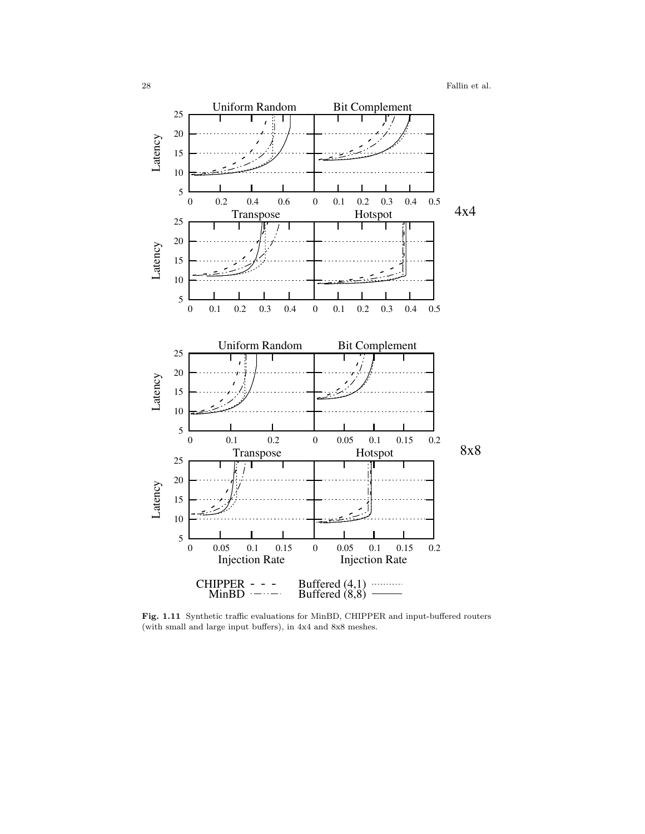

Fig. 1.11 Synthetic traffic evaluations for MinBD, CHIPPER and input-buffered routers (with small and large input buffers), in 4x4 and 8x8 meshes.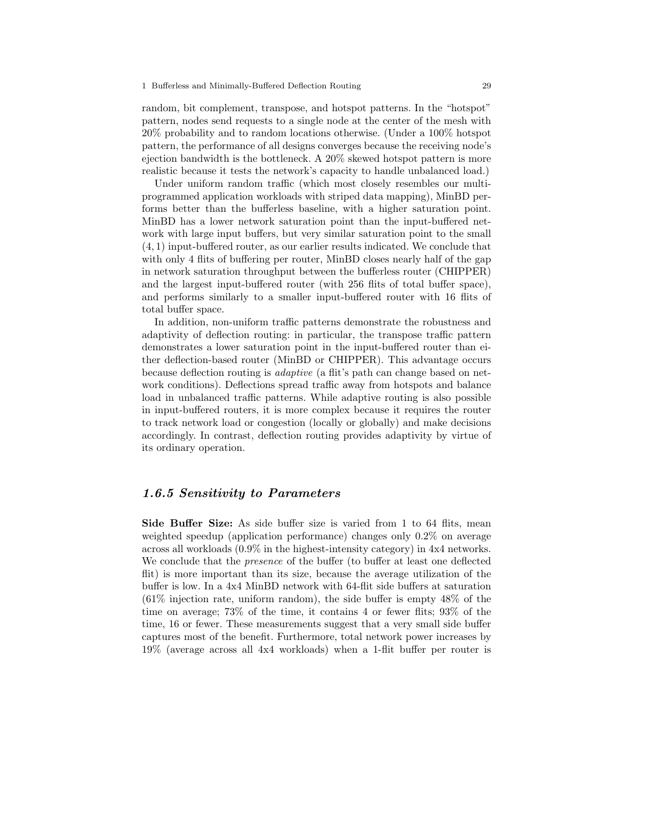random, bit complement, transpose, and hotspot patterns. In the "hotspot" pattern, nodes send requests to a single node at the center of the mesh with 20% probability and to random locations otherwise. (Under a 100% hotspot pattern, the performance of all designs converges because the receiving node's ejection bandwidth is the bottleneck. A 20% skewed hotspot pattern is more realistic because it tests the network's capacity to handle unbalanced load.)

Under uniform random traffic (which most closely resembles our multiprogrammed application workloads with striped data mapping), MinBD performs better than the bufferless baseline, with a higher saturation point. MinBD has a lower network saturation point than the input-buffered network with large input buffers, but very similar saturation point to the small (4, 1) input-buffered router, as our earlier results indicated. We conclude that with only 4 flits of buffering per router, MinBD closes nearly half of the gap in network saturation throughput between the bufferless router (CHIPPER) and the largest input-buffered router (with 256 flits of total buffer space), and performs similarly to a smaller input-buffered router with 16 flits of total buffer space.

In addition, non-uniform traffic patterns demonstrate the robustness and adaptivity of deflection routing: in particular, the transpose traffic pattern demonstrates a lower saturation point in the input-buffered router than either deflection-based router (MinBD or CHIPPER). This advantage occurs because deflection routing is adaptive (a flit's path can change based on network conditions). Deflections spread traffic away from hotspots and balance load in unbalanced traffic patterns. While adaptive routing is also possible in input-buffered routers, it is more complex because it requires the router to track network load or congestion (locally or globally) and make decisions accordingly. In contrast, deflection routing provides adaptivity by virtue of its ordinary operation.

#### 1.6.5 Sensitivity to Parameters

Side Buffer Size: As side buffer size is varied from 1 to 64 flits, mean weighted speedup (application performance) changes only 0.2% on average across all workloads (0.9% in the highest-intensity category) in 4x4 networks. We conclude that the presence of the buffer (to buffer at least one deflected flit) is more important than its size, because the average utilization of the buffer is low. In a 4x4 MinBD network with 64-flit side buffers at saturation (61% injection rate, uniform random), the side buffer is empty 48% of the time on average; 73% of the time, it contains 4 or fewer flits; 93% of the time, 16 or fewer. These measurements suggest that a very small side buffer captures most of the benefit. Furthermore, total network power increases by 19% (average across all 4x4 workloads) when a 1-flit buffer per router is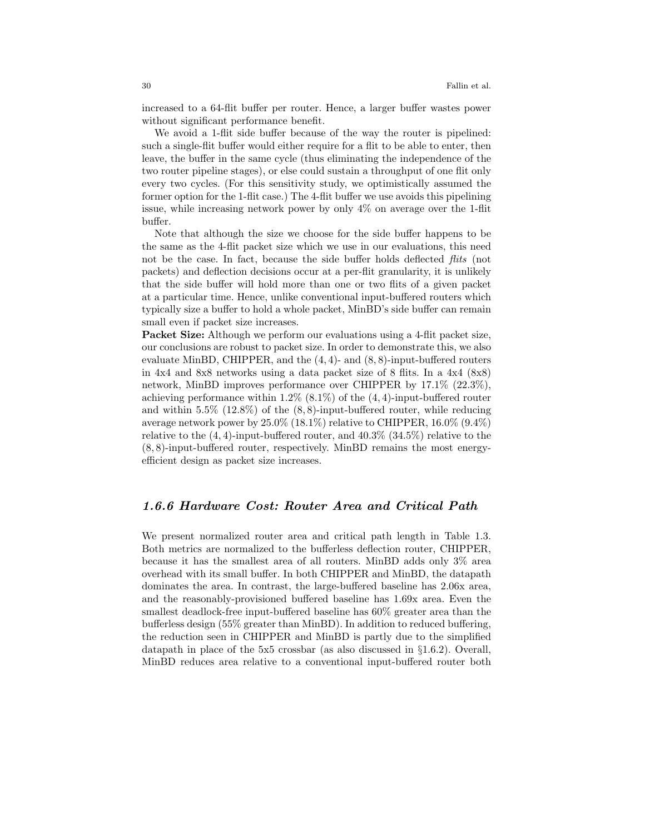increased to a 64-flit buffer per router. Hence, a larger buffer wastes power without significant performance benefit.

We avoid a 1-flit side buffer because of the way the router is pipelined: such a single-flit buffer would either require for a flit to be able to enter, then leave, the buffer in the same cycle (thus eliminating the independence of the two router pipeline stages), or else could sustain a throughput of one flit only every two cycles. (For this sensitivity study, we optimistically assumed the former option for the 1-flit case.) The 4-flit buffer we use avoids this pipelining issue, while increasing network power by only 4% on average over the 1-flit buffer.

Note that although the size we choose for the side buffer happens to be the same as the 4-flit packet size which we use in our evaluations, this need not be the case. In fact, because the side buffer holds deflected flits (not packets) and deflection decisions occur at a per-flit granularity, it is unlikely that the side buffer will hold more than one or two flits of a given packet at a particular time. Hence, unlike conventional input-buffered routers which typically size a buffer to hold a whole packet, MinBD's side buffer can remain small even if packet size increases.

Packet Size: Although we perform our evaluations using a 4-flit packet size, our conclusions are robust to packet size. In order to demonstrate this, we also evaluate MinBD, CHIPPER, and the  $(4, 4)$ - and  $(8, 8)$ -input-buffered routers in 4x4 and 8x8 networks using a data packet size of 8 flits. In a 4x4 (8x8) network, MinBD improves performance over CHIPPER by 17.1% (22.3%), achieving performance within 1.2%  $(8.1\%)$  of the  $(4, 4)$ -input-buffered router and within  $5.5\%$   $(12.8\%)$  of the  $(8, 8)$ -input-buffered router, while reducing average network power by 25.0% (18.1%) relative to CHIPPER, 16.0% (9.4%) relative to the  $(4, 4)$ -input-buffered router, and  $40.3\%$   $(34.5\%)$  relative to the (8, 8)-input-buffered router, respectively. MinBD remains the most energyefficient design as packet size increases.

#### 1.6.6 Hardware Cost: Router Area and Critical Path

We present normalized router area and critical path length in Table 1.3. Both metrics are normalized to the bufferless deflection router, CHIPPER, because it has the smallest area of all routers. MinBD adds only 3% area overhead with its small buffer. In both CHIPPER and MinBD, the datapath dominates the area. In contrast, the large-buffered baseline has 2.06x area, and the reasonably-provisioned buffered baseline has 1.69x area. Even the smallest deadlock-free input-buffered baseline has 60% greater area than the bufferless design (55% greater than MinBD). In addition to reduced buffering, the reduction seen in CHIPPER and MinBD is partly due to the simplified datapath in place of the 5x5 crossbar (as also discussed in §1.6.2). Overall, MinBD reduces area relative to a conventional input-buffered router both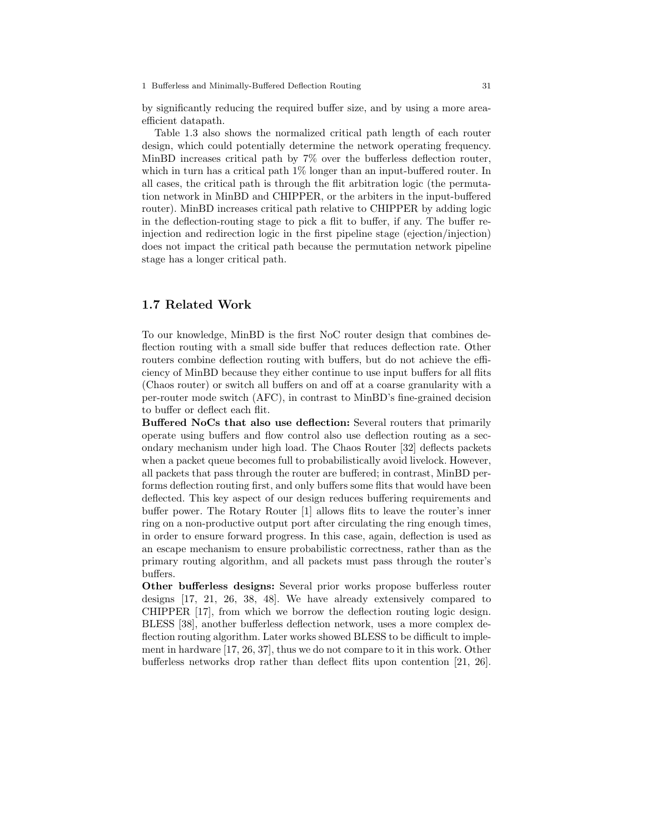by significantly reducing the required buffer size, and by using a more areaefficient datapath.

Table 1.3 also shows the normalized critical path length of each router design, which could potentially determine the network operating frequency. MinBD increases critical path by 7% over the bufferless deflection router, which in turn has a critical path  $1\%$  longer than an input-buffered router. In all cases, the critical path is through the flit arbitration logic (the permutation network in MinBD and CHIPPER, or the arbiters in the input-buffered router). MinBD increases critical path relative to CHIPPER by adding logic in the deflection-routing stage to pick a flit to buffer, if any. The buffer reinjection and redirection logic in the first pipeline stage (ejection/injection) does not impact the critical path because the permutation network pipeline stage has a longer critical path.

### 1.7 Related Work

To our knowledge, MinBD is the first NoC router design that combines deflection routing with a small side buffer that reduces deflection rate. Other routers combine deflection routing with buffers, but do not achieve the efficiency of MinBD because they either continue to use input buffers for all flits (Chaos router) or switch all buffers on and off at a coarse granularity with a per-router mode switch (AFC), in contrast to MinBD's fine-grained decision to buffer or deflect each flit.

Buffered NoCs that also use deflection: Several routers that primarily operate using buffers and flow control also use deflection routing as a secondary mechanism under high load. The Chaos Router [32] deflects packets when a packet queue becomes full to probabilistically avoid livelock. However, all packets that pass through the router are buffered; in contrast, MinBD performs deflection routing first, and only buffers some flits that would have been deflected. This key aspect of our design reduces buffering requirements and buffer power. The Rotary Router [1] allows flits to leave the router's inner ring on a non-productive output port after circulating the ring enough times, in order to ensure forward progress. In this case, again, deflection is used as an escape mechanism to ensure probabilistic correctness, rather than as the primary routing algorithm, and all packets must pass through the router's buffers.

Other bufferless designs: Several prior works propose bufferless router designs [17, 21, 26, 38, 48]. We have already extensively compared to CHIPPER [17], from which we borrow the deflection routing logic design. BLESS [38], another bufferless deflection network, uses a more complex deflection routing algorithm. Later works showed BLESS to be difficult to implement in hardware [17, 26, 37], thus we do not compare to it in this work. Other bufferless networks drop rather than deflect flits upon contention [21, 26].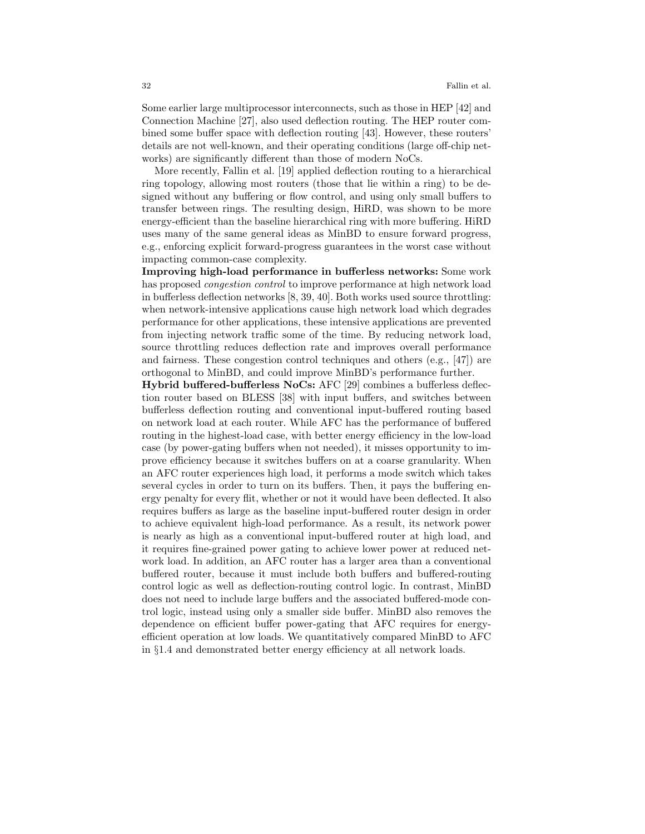Some earlier large multiprocessor interconnects, such as those in HEP [42] and Connection Machine [27], also used deflection routing. The HEP router combined some buffer space with deflection routing [43]. However, these routers' details are not well-known, and their operating conditions (large off-chip networks) are significantly different than those of modern NoCs.

More recently, Fallin et al. [19] applied deflection routing to a hierarchical ring topology, allowing most routers (those that lie within a ring) to be designed without any buffering or flow control, and using only small buffers to transfer between rings. The resulting design, HiRD, was shown to be more energy-efficient than the baseline hierarchical ring with more buffering. HiRD uses many of the same general ideas as MinBD to ensure forward progress, e.g., enforcing explicit forward-progress guarantees in the worst case without impacting common-case complexity.

Improving high-load performance in bufferless networks: Some work has proposed congestion control to improve performance at high network load in bufferless deflection networks [8, 39, 40]. Both works used source throttling: when network-intensive applications cause high network load which degrades performance for other applications, these intensive applications are prevented from injecting network traffic some of the time. By reducing network load, source throttling reduces deflection rate and improves overall performance and fairness. These congestion control techniques and others (e.g., [47]) are orthogonal to MinBD, and could improve MinBD's performance further.

Hybrid buffered-bufferless NoCs: AFC [29] combines a bufferless deflection router based on BLESS [38] with input buffers, and switches between bufferless deflection routing and conventional input-buffered routing based on network load at each router. While AFC has the performance of buffered routing in the highest-load case, with better energy efficiency in the low-load case (by power-gating buffers when not needed), it misses opportunity to improve efficiency because it switches buffers on at a coarse granularity. When an AFC router experiences high load, it performs a mode switch which takes several cycles in order to turn on its buffers. Then, it pays the buffering energy penalty for every flit, whether or not it would have been deflected. It also requires buffers as large as the baseline input-buffered router design in order to achieve equivalent high-load performance. As a result, its network power is nearly as high as a conventional input-buffered router at high load, and it requires fine-grained power gating to achieve lower power at reduced network load. In addition, an AFC router has a larger area than a conventional buffered router, because it must include both buffers and buffered-routing control logic as well as deflection-routing control logic. In contrast, MinBD does not need to include large buffers and the associated buffered-mode control logic, instead using only a smaller side buffer. MinBD also removes the dependence on efficient buffer power-gating that AFC requires for energyefficient operation at low loads. We quantitatively compared MinBD to AFC in §1.4 and demonstrated better energy efficiency at all network loads.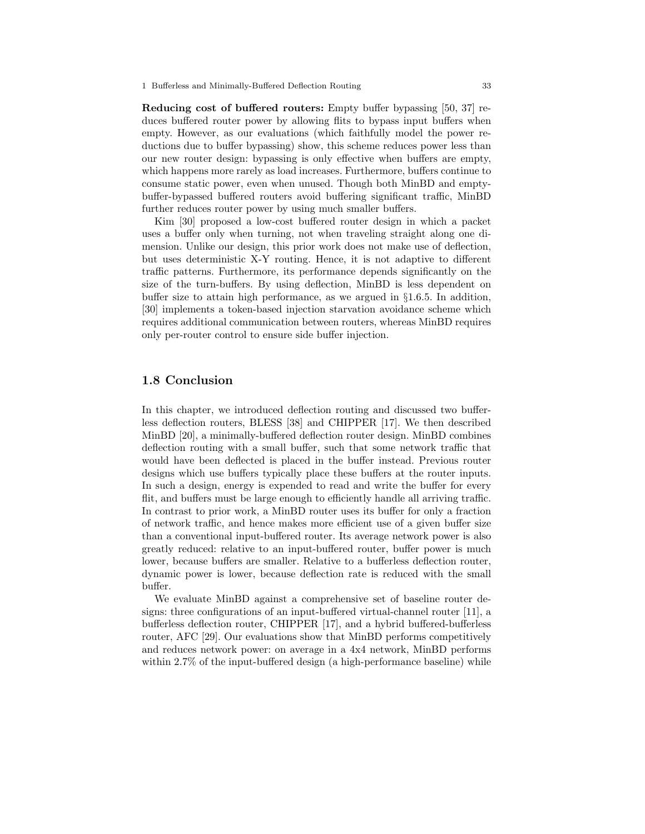Reducing cost of buffered routers: Empty buffer bypassing [50, 37] reduces buffered router power by allowing flits to bypass input buffers when empty. However, as our evaluations (which faithfully model the power reductions due to buffer bypassing) show, this scheme reduces power less than our new router design: bypassing is only effective when buffers are empty, which happens more rarely as load increases. Furthermore, buffers continue to consume static power, even when unused. Though both MinBD and emptybuffer-bypassed buffered routers avoid buffering significant traffic, MinBD further reduces router power by using much smaller buffers.

Kim [30] proposed a low-cost buffered router design in which a packet uses a buffer only when turning, not when traveling straight along one dimension. Unlike our design, this prior work does not make use of deflection, but uses deterministic X-Y routing. Hence, it is not adaptive to different traffic patterns. Furthermore, its performance depends significantly on the size of the turn-buffers. By using deflection, MinBD is less dependent on buffer size to attain high performance, as we argued in  $\S1.6.5$ . In addition, [30] implements a token-based injection starvation avoidance scheme which requires additional communication between routers, whereas MinBD requires only per-router control to ensure side buffer injection.

#### 1.8 Conclusion

In this chapter, we introduced deflection routing and discussed two bufferless deflection routers, BLESS [38] and CHIPPER [17]. We then described MinBD [20], a minimally-buffered deflection router design. MinBD combines deflection routing with a small buffer, such that some network traffic that would have been deflected is placed in the buffer instead. Previous router designs which use buffers typically place these buffers at the router inputs. In such a design, energy is expended to read and write the buffer for every flit, and buffers must be large enough to efficiently handle all arriving traffic. In contrast to prior work, a MinBD router uses its buffer for only a fraction of network traffic, and hence makes more efficient use of a given buffer size than a conventional input-buffered router. Its average network power is also greatly reduced: relative to an input-buffered router, buffer power is much lower, because buffers are smaller. Relative to a bufferless deflection router, dynamic power is lower, because deflection rate is reduced with the small buffer.

We evaluate MinBD against a comprehensive set of baseline router designs: three configurations of an input-buffered virtual-channel router [11], a bufferless deflection router, CHIPPER [17], and a hybrid buffered-bufferless router, AFC [29]. Our evaluations show that MinBD performs competitively and reduces network power: on average in a 4x4 network, MinBD performs within 2.7% of the input-buffered design (a high-performance baseline) while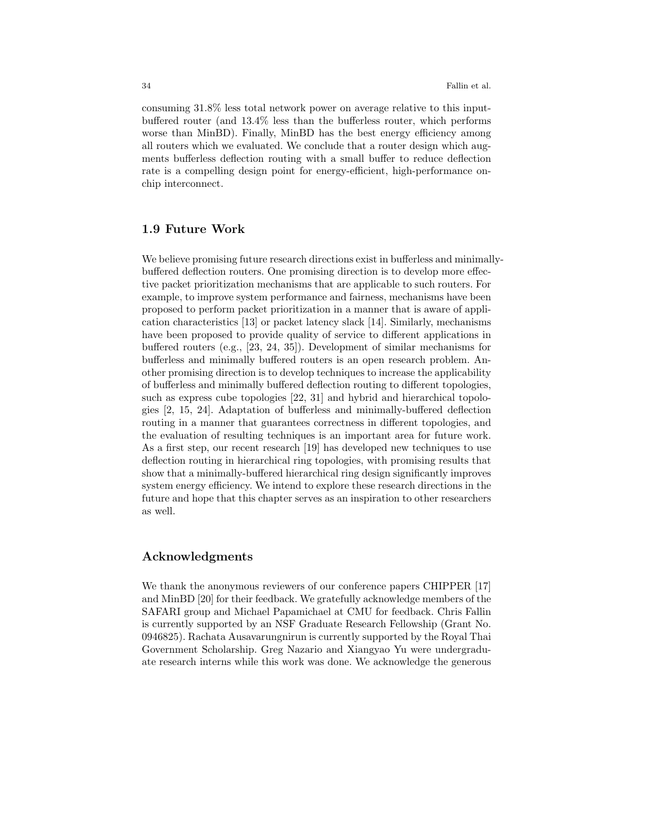consuming 31.8% less total network power on average relative to this inputbuffered router (and 13.4% less than the bufferless router, which performs worse than MinBD). Finally, MinBD has the best energy efficiency among all routers which we evaluated. We conclude that a router design which augments bufferless deflection routing with a small buffer to reduce deflection rate is a compelling design point for energy-efficient, high-performance onchip interconnect.

#### 1.9 Future Work

We believe promising future research directions exist in bufferless and minimallybuffered deflection routers. One promising direction is to develop more effective packet prioritization mechanisms that are applicable to such routers. For example, to improve system performance and fairness, mechanisms have been proposed to perform packet prioritization in a manner that is aware of application characteristics [13] or packet latency slack [14]. Similarly, mechanisms have been proposed to provide quality of service to different applications in buffered routers (e.g., [23, 24, 35]). Development of similar mechanisms for bufferless and minimally buffered routers is an open research problem. Another promising direction is to develop techniques to increase the applicability of bufferless and minimally buffered deflection routing to different topologies, such as express cube topologies [22, 31] and hybrid and hierarchical topologies [2, 15, 24]. Adaptation of bufferless and minimally-buffered deflection routing in a manner that guarantees correctness in different topologies, and the evaluation of resulting techniques is an important area for future work. As a first step, our recent research [19] has developed new techniques to use deflection routing in hierarchical ring topologies, with promising results that show that a minimally-buffered hierarchical ring design significantly improves system energy efficiency. We intend to explore these research directions in the future and hope that this chapter serves as an inspiration to other researchers as well.

### Acknowledgments

We thank the anonymous reviewers of our conference papers CHIPPER [17] and MinBD [20] for their feedback. We gratefully acknowledge members of the SAFARI group and Michael Papamichael at CMU for feedback. Chris Fallin is currently supported by an NSF Graduate Research Fellowship (Grant No. 0946825). Rachata Ausavarungnirun is currently supported by the Royal Thai Government Scholarship. Greg Nazario and Xiangyao Yu were undergraduate research interns while this work was done. We acknowledge the generous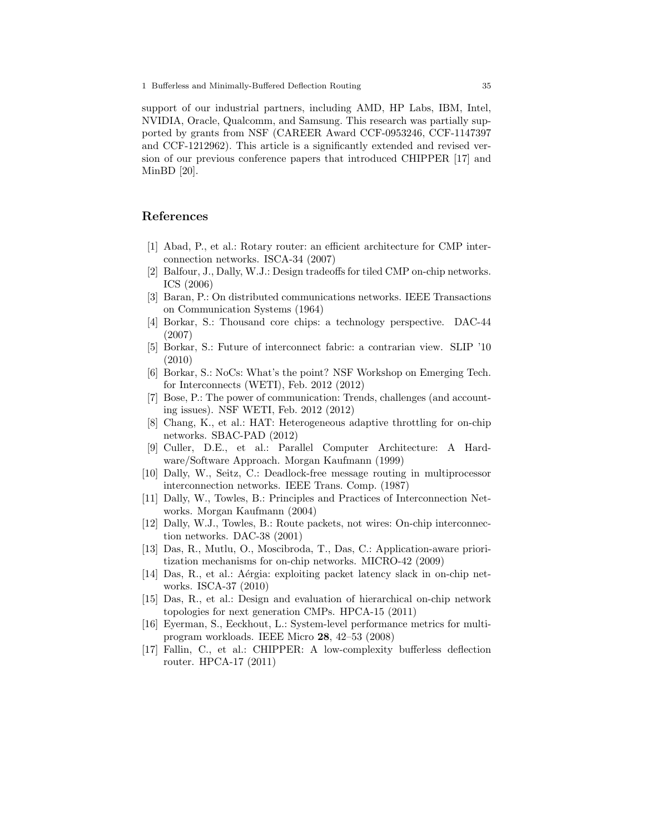support of our industrial partners, including AMD, HP Labs, IBM, Intel, NVIDIA, Oracle, Qualcomm, and Samsung. This research was partially supported by grants from NSF (CAREER Award CCF-0953246, CCF-1147397 and CCF-1212962). This article is a significantly extended and revised version of our previous conference papers that introduced CHIPPER [17] and MinBD [20].

## References

- [1] Abad, P., et al.: Rotary router: an efficient architecture for CMP interconnection networks. ISCA-34 (2007)
- [2] Balfour, J., Dally, W.J.: Design tradeoffs for tiled CMP on-chip networks. ICS (2006)
- [3] Baran, P.: On distributed communications networks. IEEE Transactions on Communication Systems (1964)
- [4] Borkar, S.: Thousand core chips: a technology perspective. DAC-44 (2007)
- [5] Borkar, S.: Future of interconnect fabric: a contrarian view. SLIP '10 (2010)
- [6] Borkar, S.: NoCs: What's the point? NSF Workshop on Emerging Tech. for Interconnects (WETI), Feb. 2012 (2012)
- [7] Bose, P.: The power of communication: Trends, challenges (and accounting issues). NSF WETI, Feb. 2012 (2012)
- [8] Chang, K., et al.: HAT: Heterogeneous adaptive throttling for on-chip networks. SBAC-PAD (2012)
- [9] Culler, D.E., et al.: Parallel Computer Architecture: A Hardware/Software Approach. Morgan Kaufmann (1999)
- [10] Dally, W., Seitz, C.: Deadlock-free message routing in multiprocessor interconnection networks. IEEE Trans. Comp. (1987)
- [11] Dally, W., Towles, B.: Principles and Practices of Interconnection Networks. Morgan Kaufmann (2004)
- [12] Dally, W.J., Towles, B.: Route packets, not wires: On-chip interconnection networks. DAC-38 (2001)
- [13] Das, R., Mutlu, O., Moscibroda, T., Das, C.: Application-aware prioritization mechanisms for on-chip networks. MICRO-42 (2009)
- [14] Das, R., et al.: Aérgia: exploiting packet latency slack in on-chip networks. ISCA-37 (2010)
- [15] Das, R., et al.: Design and evaluation of hierarchical on-chip network topologies for next generation CMPs. HPCA-15 (2011)
- [16] Eyerman, S., Eeckhout, L.: System-level performance metrics for multiprogram workloads. IEEE Micro 28, 42–53 (2008)
- [17] Fallin, C., et al.: CHIPPER: A low-complexity bufferless deflection router. HPCA-17 (2011)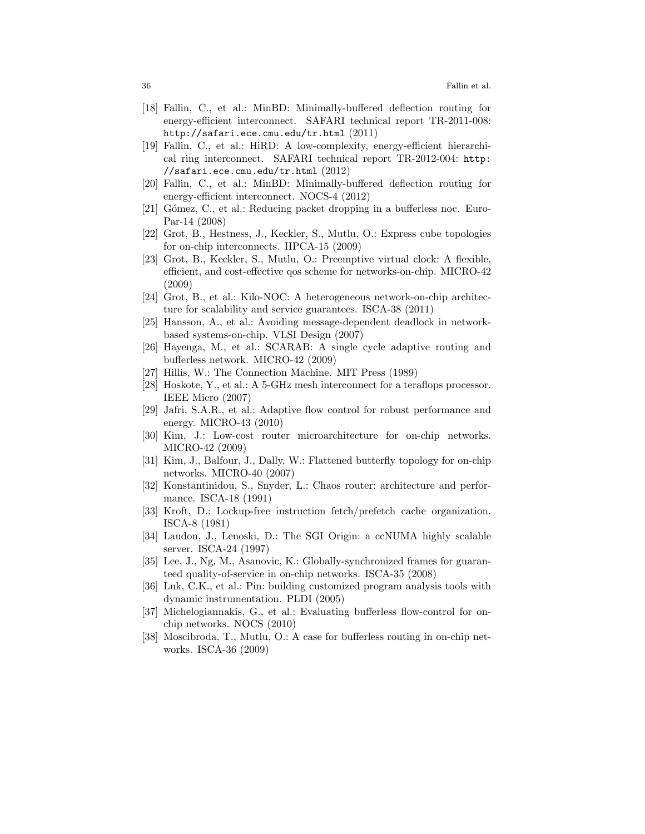- [18] Fallin, C., et al.: MinBD: Minimally-buffered deflection routing for energy-efficient interconnect. SAFARI technical report TR-2011-008: http://safari.ece.cmu.edu/tr.html (2011)
- [19] Fallin, C., et al.: HiRD: A low-complexity, energy-efficient hierarchical ring interconnect. SAFARI technical report TR-2012-004: http:  $\frac{1}{2012}$
- [20] Fallin, C., et al.: MinBD: Minimally-buffered deflection routing for energy-efficient interconnect. NOCS-4 (2012)
- [21] Gómez, C., et al.: Reducing packet dropping in a bufferless noc. Euro-Par-14 (2008)
- [22] Grot, B., Hestness, J., Keckler, S., Mutlu, O.: Express cube topologies for on-chip interconnects. HPCA-15 (2009)
- [23] Grot, B., Keckler, S., Mutlu, O.: Preemptive virtual clock: A flexible, efficient, and cost-effective qos scheme for networks-on-chip. MICRO-42 (2009)
- [24] Grot, B., et al.: Kilo-NOC: A heterogeneous network-on-chip architecture for scalability and service guarantees. ISCA-38 (2011)
- [25] Hansson, A., et al.: Avoiding message-dependent deadlock in networkbased systems-on-chip. VLSI Design (2007)
- [26] Hayenga, M., et al.: SCARAB: A single cycle adaptive routing and bufferless network. MICRO-42 (2009)
- [27] Hillis, W.: The Connection Machine. MIT Press (1989)
- [28] Hoskote, Y., et al.: A 5-GHz mesh interconnect for a teraflops processor. IEEE Micro (2007)
- [29] Jafri, S.A.R., et al.: Adaptive flow control for robust performance and energy. MICRO-43 (2010)
- [30] Kim, J.: Low-cost router microarchitecture for on-chip networks. MICRO-42 (2009)
- [31] Kim, J., Balfour, J., Dally, W.: Flattened butterfly topology for on-chip networks. MICRO-40 (2007)
- [32] Konstantinidou, S., Snyder, L.: Chaos router: architecture and performance. ISCA-18 (1991)
- [33] Kroft, D.: Lockup-free instruction fetch/prefetch cache organization. ISCA-8 (1981)
- [34] Laudon, J., Lenoski, D.: The SGI Origin: a ccNUMA highly scalable server. ISCA-24 (1997)
- [35] Lee, J., Ng, M., Asanovic, K.: Globally-synchronized frames for guaranteed quality-of-service in on-chip networks. ISCA-35 (2008)
- [36] Luk, C.K., et al.: Pin: building customized program analysis tools with dynamic instrumentation. PLDI (2005)
- [37] Michelogiannakis, G., et al.: Evaluating bufferless flow-control for onchip networks. NOCS (2010)
- [38] Moscibroda, T., Mutlu, O.: A case for bufferless routing in on-chip networks. ISCA-36 (2009)